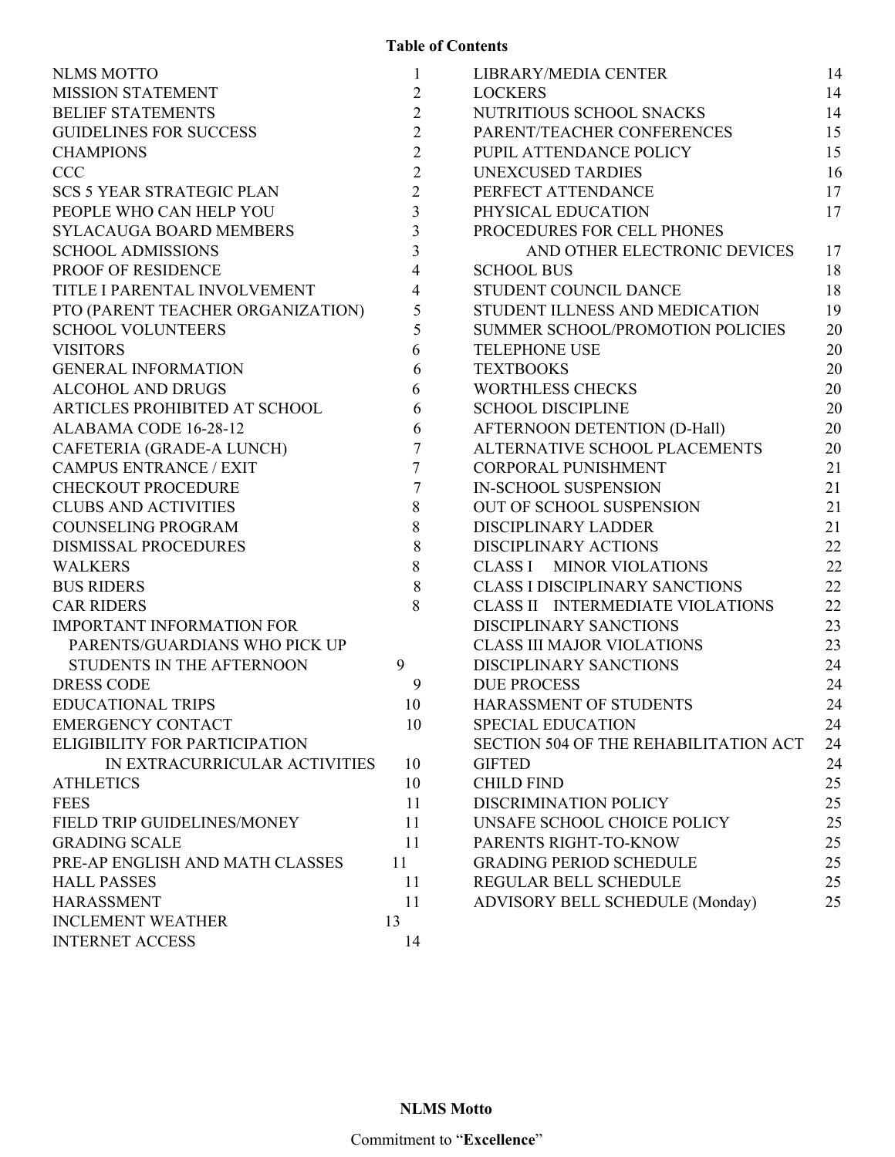| <b>NLMS MOTTO</b>                 | 1              | LIBRARY/MEDIA CENTER                    | 14 |
|-----------------------------------|----------------|-----------------------------------------|----|
| <b>MISSION STATEMENT</b>          | $\overline{2}$ | <b>LOCKERS</b>                          | 14 |
| <b>BELIEF STATEMENTS</b>          | $\overline{2}$ | NUTRITIOUS SCHOOL SNACKS                | 14 |
| <b>GUIDELINES FOR SUCCESS</b>     | $\overline{2}$ | PARENT/TEACHER CONFERENCES              | 15 |
| <b>CHAMPIONS</b>                  | $\overline{2}$ | PUPIL ATTENDANCE POLICY                 | 15 |
| <b>CCC</b>                        | $\overline{2}$ | <b>UNEXCUSED TARDIES</b>                | 16 |
| <b>SCS 5 YEAR STRATEGIC PLAN</b>  | $\overline{2}$ | PERFECT ATTENDANCE                      | 17 |
| PEOPLE WHO CAN HELP YOU           | $\overline{3}$ | PHYSICAL EDUCATION                      | 17 |
| <b>SYLACAUGA BOARD MEMBERS</b>    | $\overline{3}$ | PROCEDURES FOR CELL PHONES              |    |
| <b>SCHOOL ADMISSIONS</b>          | 3              | AND OTHER ELECTRONIC DEVICES            | 17 |
| PROOF OF RESIDENCE                | 4              | <b>SCHOOL BUS</b>                       | 18 |
| TITLE I PARENTAL INVOLVEMENT      | 4              | STUDENT COUNCIL DANCE                   | 18 |
| PTO (PARENT TEACHER ORGANIZATION) | 5              | STUDENT ILLNESS AND MEDICATION          | 19 |
| <b>SCHOOL VOLUNTEERS</b>          | 5              | SUMMER SCHOOL/PROMOTION POLICIES        | 20 |
| <b>VISITORS</b>                   | 6              | <b>TELEPHONE USE</b>                    | 20 |
| <b>GENERAL INFORMATION</b>        | 6              | <b>TEXTBOOKS</b>                        | 20 |
| <b>ALCOHOL AND DRUGS</b>          | 6              | <b>WORTHLESS CHECKS</b>                 | 20 |
| ARTICLES PROHIBITED AT SCHOOL     | 6              | <b>SCHOOL DISCIPLINE</b>                | 20 |
| ALABAMA CODE 16-28-12             | 6              | AFTERNOON DETENTION (D-Hall)            | 20 |
| CAFETERIA (GRADE-A LUNCH)         | $\tau$         | ALTERNATIVE SCHOOL PLACEMENTS           | 20 |
| <b>CAMPUS ENTRANCE / EXIT</b>     | 7              | <b>CORPORAL PUNISHMENT</b>              | 21 |
| <b>CHECKOUT PROCEDURE</b>         | $\tau$         | <b>IN-SCHOOL SUSPENSION</b>             | 21 |
| <b>CLUBS AND ACTIVITIES</b>       | 8              | OUT OF SCHOOL SUSPENSION                | 21 |
| <b>COUNSELING PROGRAM</b>         | 8              | DISCIPLINARY LADDER                     | 21 |
| <b>DISMISSAL PROCEDURES</b>       | 8              | <b>DISCIPLINARY ACTIONS</b>             | 22 |
| <b>WALKERS</b>                    | 8              | <b>CLASS I MINOR VIOLATIONS</b>         | 22 |
| <b>BUS RIDERS</b>                 | $8\,$          | <b>CLASS I DISCIPLINARY SANCTIONS</b>   | 22 |
| <b>CAR RIDERS</b>                 | 8              | <b>CLASS II INTERMEDIATE VIOLATIONS</b> | 22 |
| <b>IMPORTANT INFORMATION FOR</b>  |                | DISCIPLINARY SANCTIONS                  | 23 |
| PARENTS/GUARDIANS WHO PICK UP     |                | <b>CLASS III MAJOR VIOLATIONS</b>       | 23 |
| STUDENTS IN THE AFTERNOON         | 9              | <b>DISCIPLINARY SANCTIONS</b>           | 24 |
| <b>DRESS CODE</b>                 | 9              | <b>DUE PROCESS</b>                      | 24 |
| <b>EDUCATIONAL TRIPS</b>          | 10             | HARASSMENT OF STUDENTS                  | 24 |
| <b>EMERGENCY CONTACT</b>          | 10             | <b>SPECIAL EDUCATION</b>                | 24 |
| ELIGIBILITY FOR PARTICIPATION     |                | SECTION 504 OF THE REHABILITATION ACT   | 24 |
| IN EXTRACURRICULAR ACTIVITIES     | 10             | <b>GIFTED</b>                           | 24 |
| <b>ATHLETICS</b>                  | 10             | <b>CHILD FIND</b>                       | 25 |
| <b>FEES</b>                       | 11             | DISCRIMINATION POLICY                   | 25 |
| FIELD TRIP GUIDELINES/MONEY       | 11             | UNSAFE SCHOOL CHOICE POLICY             | 25 |
| <b>GRADING SCALE</b>              | 11             | PARENTS RIGHT-TO-KNOW                   | 25 |
| PRE-AP ENGLISH AND MATH CLASSES   | 11             | <b>GRADING PERIOD SCHEDULE</b>          | 25 |
| <b>HALL PASSES</b>                | 11             | REGULAR BELL SCHEDULE                   | 25 |
| <b>HARASSMENT</b>                 | 11             | ADVISORY BELL SCHEDULE (Monday)         | 25 |
| <b>INCLEMENT WEATHER</b>          | 13             |                                         |    |
| <b>INTERNET ACCESS</b>            | 14             |                                         |    |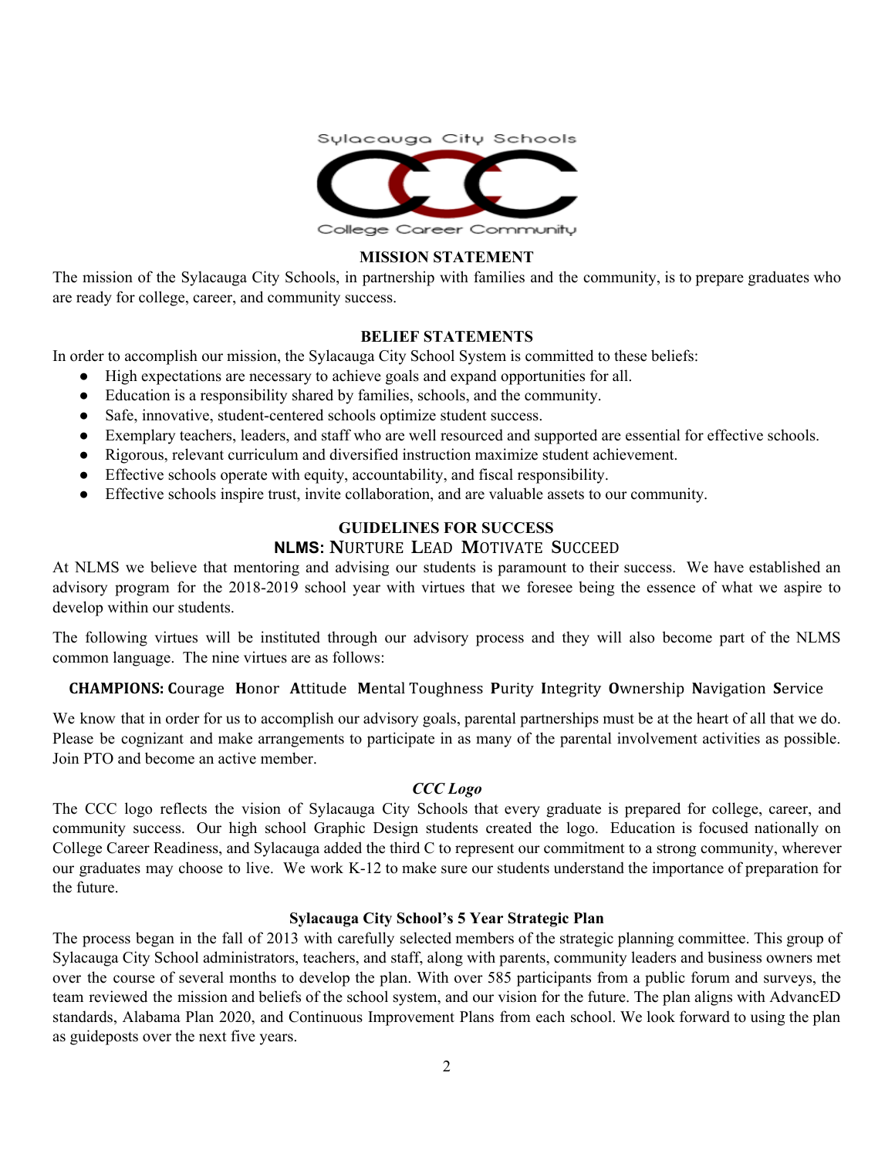

## **MISSION STATEMENT**

The mission of the Sylacauga City Schools, in partnership with families and the community, is to prepare graduates who are ready for college, career, and community success.

### **BELIEF STATEMENTS**

In order to accomplish our mission, the Sylacauga City School System is committed to these beliefs:

- High expectations are necessary to achieve goals and expand opportunities for all.
- Education is a responsibility shared by families, schools, and the community.
- Safe, innovative, student-centered schools optimize student success.
- Exemplary teachers, leaders, and staff who are well resourced and supported are essential for effective schools.
- Rigorous, relevant curriculum and diversified instruction maximize student achievement.
- Effective schools operate with equity, accountability, and fiscal responsibility.
- Effective schools inspire trust, invite collaboration, and are valuable assets to our community.

### **GUIDELINES FOR SUCCESS**

### **NLMS: N**URTURE **L**EAD **M**OTIVATE **S**UCCEED

At NLMS we believe that mentoring and advising our students is paramount to their success. We have established an advisory program for the 2018-2019 school year with virtues that we foresee being the essence of what we aspire to develop within our students.

The following virtues will be instituted through our advisory process and they will also become part of the NLMS common language. The nine virtues are as follows:

### **CHAMPIONS: C**ourage **H**onor **A**ttitude **M**ental Toughness **P**urity **I**ntegrity **O**wnership **N**avigation **S**ervice

We know that in order for us to accomplish our advisory goals, parental partnerships must be at the heart of all that we do. Please be cognizant and make arrangements to participate in as many of the parental involvement activities as possible. Join PTO and become an active member.

#### *CCC Logo*

The CCC logo reflects the vision of Sylacauga City Schools that every graduate is prepared for college, career, and community success. Our high school Graphic Design students created the logo. Education is focused nationally on College Career Readiness, and Sylacauga added the third C to represent our commitment to a strong community, wherever our graduates may choose to live. We work K-12 to make sure our students understand the importance of preparation for the future.

#### **Sylacauga City School's 5 Year Strategic Plan**

The process began in the fall of 2013 with carefully selected members of the strategic planning committee. This group of Sylacauga City School administrators, teachers, and staff, along with parents, community leaders and business owners met over the course of several months to develop the plan. With over 585 participants from a public forum and surveys, the team reviewed the mission and beliefs of the school system, and our vision for the future. The plan aligns with AdvancED standards, Alabama Plan 2020, and Continuous Improvement Plans from each school. We look forward to using the plan as guideposts over the next five years.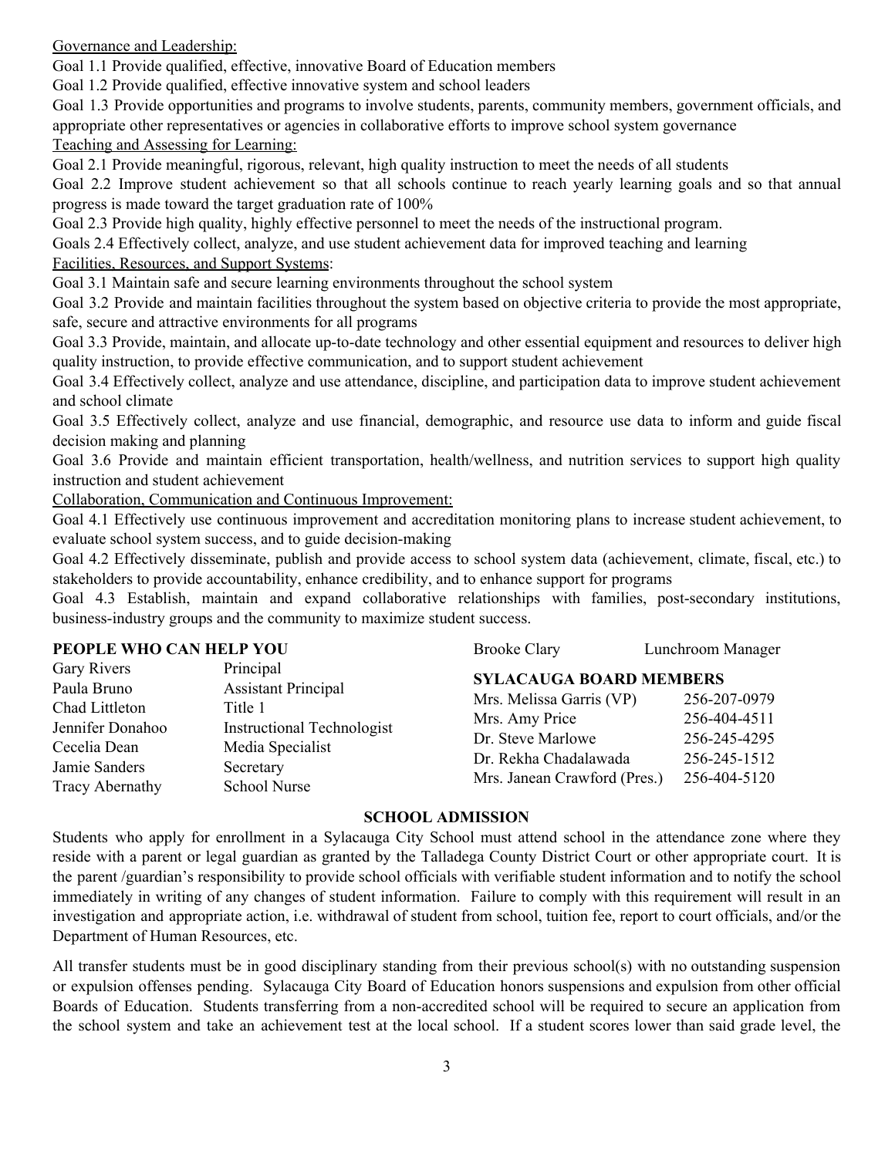Governance and Leadership:

Goal 1.1 Provide qualified, effective, innovative Board of Education members

Goal 1.2 Provide qualified, effective innovative system and school leaders

Goal 1.3 Provide opportunities and programs to involve students, parents, community members, government officials, and appropriate other representatives or agencies in collaborative efforts to improve school system governance Teaching and Assessing for Learning:

Goal 2.1 Provide meaningful, rigorous, relevant, high quality instruction to meet the needs of all students

Goal 2.2 Improve student achievement so that all schools continue to reach yearly learning goals and so that annual progress is made toward the target graduation rate of 100%

Goal 2.3 Provide high quality, highly effective personnel to meet the needs of the instructional program.

Goals 2.4 Effectively collect, analyze, and use student achievement data for improved teaching and learning

Facilities, Resources, and Support Systems:

Goal 3.1 Maintain safe and secure learning environments throughout the school system

Goal 3.2 Provide and maintain facilities throughout the system based on objective criteria to provide the most appropriate, safe, secure and attractive environments for all programs

Goal 3.3 Provide, maintain, and allocate up-to-date technology and other essential equipment and resources to deliver high quality instruction, to provide effective communication, and to support student achievement

Goal 3.4 Effectively collect, analyze and use attendance, discipline, and participation data to improve student achievement and school climate

Goal 3.5 Effectively collect, analyze and use financial, demographic, and resource use data to inform and guide fiscal decision making and planning

Goal 3.6 Provide and maintain efficient transportation, health/wellness, and nutrition services to support high quality instruction and student achievement

Collaboration, Communication and Continuous Improvement:

Goal 4.1 Effectively use continuous improvement and accreditation monitoring plans to increase student achievement, to evaluate school system success, and to guide decision-making

Goal 4.2 Effectively disseminate, publish and provide access to school system data (achievement, climate, fiscal, etc.) to stakeholders to provide accountability, enhance credibility, and to enhance support for programs

Goal 4.3 Establish, maintain and expand collaborative relationships with families, post-secondary institutions, business-industry groups and the community to maximize student success.

### **PEOPLE WHO CAN HELP YOU**

| PEOPLE WHO CAN HELP YOU |                                   | <b>Brooke Clary</b>            | Lunchroom Manager |
|-------------------------|-----------------------------------|--------------------------------|-------------------|
| Gary Rivers             | Principal                         | <b>SYLACAUGA BOARD MEMBERS</b> |                   |
| Paula Bruno             | <b>Assistant Principal</b>        |                                |                   |
| Chad Littleton          | Title 1                           | Mrs. Melissa Garris (VP)       | 256-207-0979      |
| Jennifer Donahoo        | <b>Instructional Technologist</b> | Mrs. Amy Price                 | 256-404-4511      |
|                         |                                   | Dr. Steve Marlowe              | 256-245-4295      |
| Cecelia Dean            | Media Specialist                  | Dr. Rekha Chadalawada          | 256-245-1512      |
| Jamie Sanders           | Secretary                         | Mrs. Janean Crawford (Pres.)   | 256-404-5120      |
| <b>Tracy Abernathy</b>  | School Nurse                      |                                |                   |

### **SCHOOL ADMISSION**

Students who apply for enrollment in a Sylacauga City School must attend school in the attendance zone where they reside with a parent or legal guardian as granted by the Talladega County District Court or other appropriate court. It is the parent /guardian's responsibility to provide school officials with verifiable student information and to notify the school immediately in writing of any changes of student information. Failure to comply with this requirement will result in an investigation and appropriate action, i.e. withdrawal of student from school, tuition fee, report to court officials, and/or the Department of Human Resources, etc.

All transfer students must be in good disciplinary standing from their previous school(s) with no outstanding suspension or expulsion offenses pending. Sylacauga City Board of Education honors suspensions and expulsion from other official Boards of Education. Students transferring from a non-accredited school will be required to secure an application from the school system and take an achievement test at the local school. If a student scores lower than said grade level, the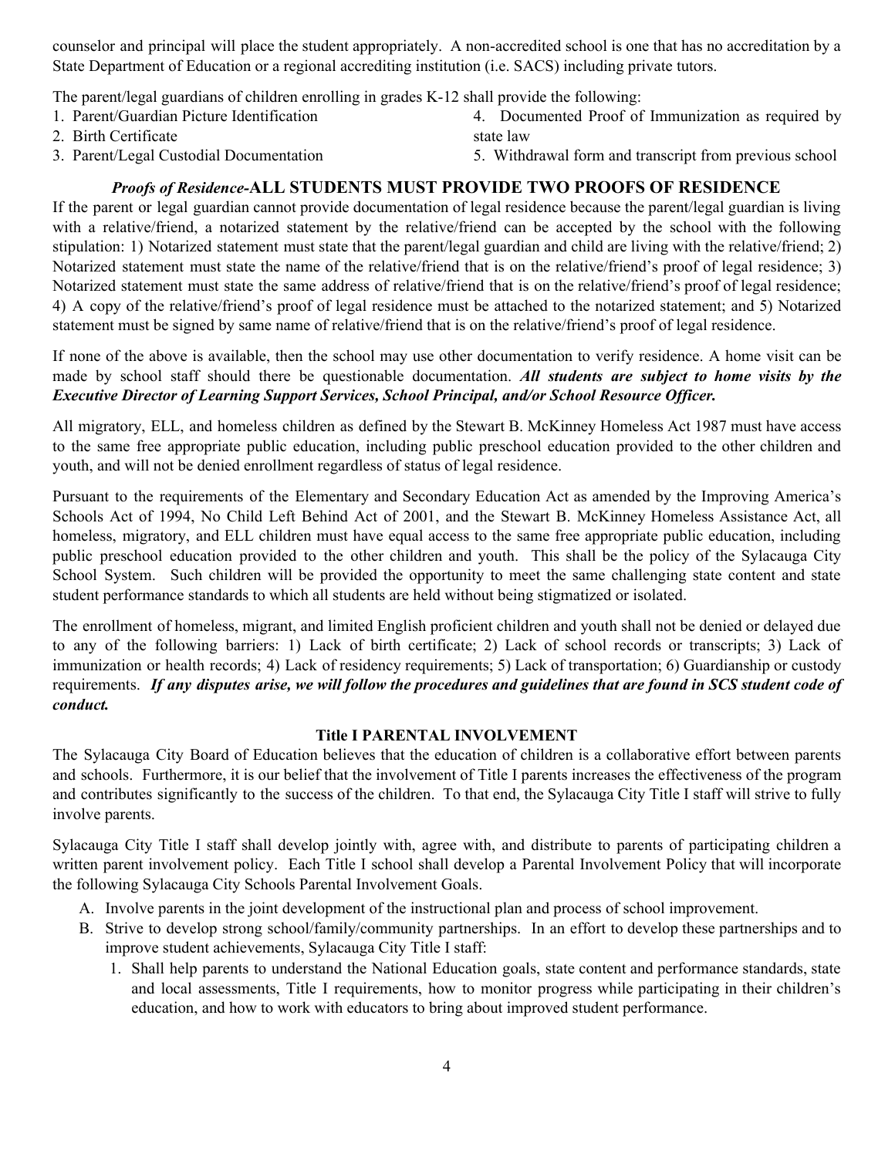counselor and principal will place the student appropriately. A non-accredited school is one that has no accreditation by a State Department of Education or a regional accrediting institution (i.e. SACS) including private tutors.

The parent/legal guardians of children enrolling in grades K-12 shall provide the following:

- 1. Parent/Guardian Picture Identification 4. Documented Proof of Immunization as required by state law
	- 2. Birth Certificate
	- 3. Parent/Legal Custodial Documentation

5. Withdrawal form and transcript from previous school

# *Proofs of Residence-***ALL STUDENTS MUST PROVIDE TWO PROOFS OF RESIDENCE**

If the parent or legal guardian cannot provide documentation of legal residence because the parent/legal guardian is living with a relative/friend, a notarized statement by the relative/friend can be accepted by the school with the following stipulation: 1) Notarized statement must state that the parent/legal guardian and child are living with the relative/friend; 2) Notarized statement must state the name of the relative/friend that is on the relative/friend's proof of legal residence; 3) Notarized statement must state the same address of relative/friend that is on the relative/friend's proof of legal residence; 4) A copy of the relative/friend's proof of legal residence must be attached to the notarized statement; and 5) Notarized statement must be signed by same name of relative/friend that is on the relative/friend's proof of legal residence.

If none of the above is available, then the school may use other documentation to verify residence. A home visit can be made by school staff should there be questionable documentation. *All students are subject to home visits by the Executive Director of Learning Support Services, School Principal, and/or School Resource Of icer.*

All migratory, ELL, and homeless children as defined by the Stewart B. McKinney Homeless Act 1987 must have access to the same free appropriate public education, including public preschool education provided to the other children and youth, and will not be denied enrollment regardless of status of legal residence.

Pursuant to the requirements of the Elementary and Secondary Education Act as amended by the Improving America's Schools Act of 1994, No Child Left Behind Act of 2001, and the Stewart B. McKinney Homeless Assistance Act, all homeless, migratory, and ELL children must have equal access to the same free appropriate public education, including public preschool education provided to the other children and youth. This shall be the policy of the Sylacauga City School System. Such children will be provided the opportunity to meet the same challenging state content and state student performance standards to which all students are held without being stigmatized or isolated.

The enrollment of homeless, migrant, and limited English proficient children and youth shall not be denied or delayed due to any of the following barriers: 1) Lack of birth certificate; 2) Lack of school records or transcripts; 3) Lack of immunization or health records; 4) Lack of residency requirements; 5) Lack of transportation; 6) Guardianship or custody requirements. If any disputes arise, we will follow the procedures and guidelines that are found in SCS student code of *conduct.*

### **Title I PARENTAL INVOLVEMENT**

The Sylacauga City Board of Education believes that the education of children is a collaborative effort between parents and schools. Furthermore, it is our belief that the involvement of Title I parents increases the effectiveness of the program and contributes significantly to the success of the children. To that end, the Sylacauga City Title I staff will strive to fully involve parents.

Sylacauga City Title I staff shall develop jointly with, agree with, and distribute to parents of participating children a written parent involvement policy. Each Title I school shall develop a Parental Involvement Policy that will incorporate the following Sylacauga City Schools Parental Involvement Goals.

- A. Involve parents in the joint development of the instructional plan and process of school improvement.
- B. Strive to develop strong school/family/community partnerships. In an effort to develop these partnerships and to improve student achievements, Sylacauga City Title I staff:
	- 1. Shall help parents to understand the National Education goals, state content and performance standards, state and local assessments, Title I requirements, how to monitor progress while participating in their children's education, and how to work with educators to bring about improved student performance.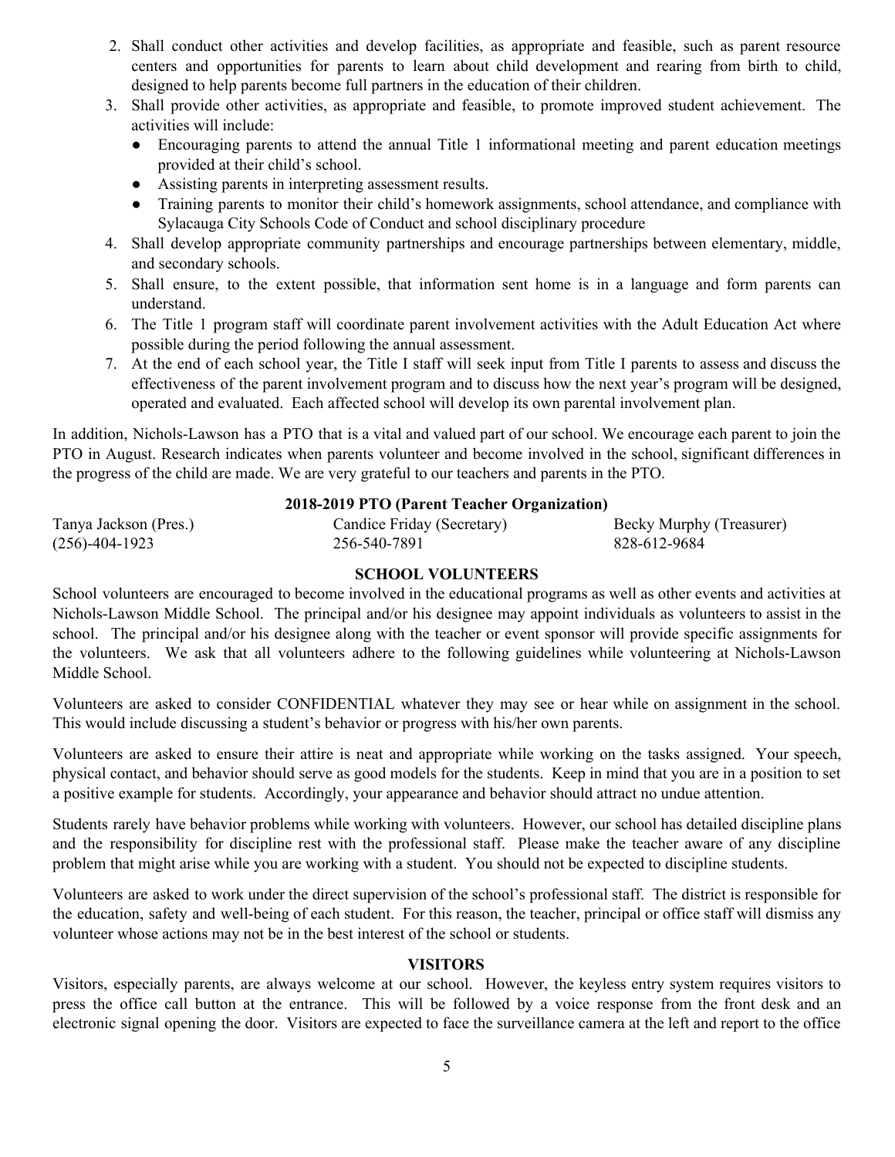- 2. Shall conduct other activities and develop facilities, as appropriate and feasible, such as parent resource centers and opportunities for parents to learn about child development and rearing from birth to child, designed to help parents become full partners in the education of their children.
- 3. Shall provide other activities, as appropriate and feasible, to promote improved student achievement. The activities will include:
	- Encouraging parents to attend the annual Title 1 informational meeting and parent education meetings provided at their child's school.
	- Assisting parents in interpreting assessment results.
	- Training parents to monitor their child's homework assignments, school attendance, and compliance with Sylacauga City Schools Code of Conduct and school disciplinary procedure
- 4. Shall develop appropriate community partnerships and encourage partnerships between elementary, middle, and secondary schools.
- 5. Shall ensure, to the extent possible, that information sent home is in a language and form parents can understand.
- 6. The Title 1 program staff will coordinate parent involvement activities with the Adult Education Act where possible during the period following the annual assessment.
- 7. At the end of each school year, the Title I staff will seek input from Title I parents to assess and discuss the effectiveness of the parent involvement program and to discuss how the next year's program will be designed, operated and evaluated. Each affected school will develop its own parental involvement plan.

In addition, Nichols-Lawson has a PTO that is a vital and valued part of our school. We encourage each parent to join the PTO in August. Research indicates when parents volunteer and become involved in the school, significant differences in the progress of the child are made. We are very grateful to our teachers and parents in the PTO.

### **2018-2019 PTO (Parent Teacher Organization)**

| Tanya Jackson (Pres.) | Candice Friday (Secretary) | Becky Murphy (Treasurer) |
|-----------------------|----------------------------|--------------------------|
| $(256)$ -404-1923     | 256-540-7891               | 828-612-9684             |

# **SCHOOL VOLUNTEERS**

School volunteers are encouraged to become involved in the educational programs as well as other events and activities at Nichols-Lawson Middle School. The principal and/or his designee may appoint individuals as volunteers to assist in the school. The principal and/or his designee along with the teacher or event sponsor will provide specific assignments for the volunteers. We ask that all volunteers adhere to the following guidelines while volunteering at Nichols-Lawson Middle School.

Volunteers are asked to consider CONFIDENTIAL whatever they may see or hear while on assignment in the school. This would include discussing a student's behavior or progress with his/her own parents.

Volunteers are asked to ensure their attire is neat and appropriate while working on the tasks assigned. Your speech, physical contact, and behavior should serve as good models for the students. Keep in mind that you are in a position to set a positive example for students. Accordingly, your appearance and behavior should attract no undue attention.

Students rarely have behavior problems while working with volunteers. However, our school has detailed discipline plans and the responsibility for discipline rest with the professional staff. Please make the teacher aware of any discipline problem that might arise while you are working with a student. You should not be expected to discipline students.

Volunteers are asked to work under the direct supervision of the school's professional staff. The district is responsible for the education, safety and well-being of each student. For this reason, the teacher, principal or office staff will dismiss any volunteer whose actions may not be in the best interest of the school or students.

### **VISITORS**

Visitors, especially parents, are always welcome at our school. However, the keyless entry system requires visitors to press the office call button at the entrance. This will be followed by a voice response from the front desk and an electronic signal opening the door. Visitors are expected to face the surveillance camera at the left and report to the office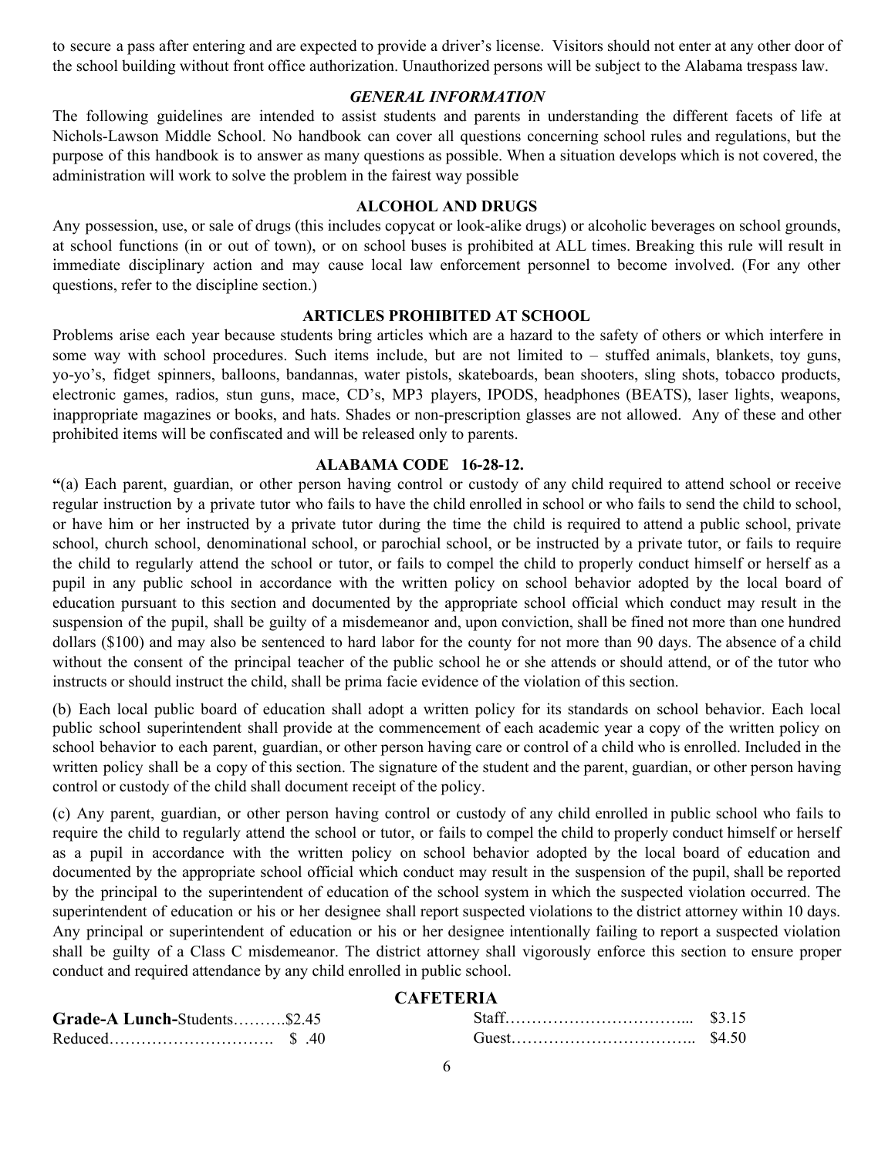to secure a pass after entering and are expected to provide a driver's license. Visitors should not enter at any other door of the school building without front office authorization. Unauthorized persons will be subject to the Alabama trespass law.

#### *GENERAL INFORMATION*

The following guidelines are intended to assist students and parents in understanding the different facets of life at Nichols-Lawson Middle School. No handbook can cover all questions concerning school rules and regulations, but the purpose of this handbook is to answer as many questions as possible. When a situation develops which is not covered, the administration will work to solve the problem in the fairest way possible

#### **ALCOHOL AND DRUGS**

Any possession, use, or sale of drugs (this includes copycat or look-alike drugs) or alcoholic beverages on school grounds, at school functions (in or out of town), or on school buses is prohibited at ALL times. Breaking this rule will result in immediate disciplinary action and may cause local law enforcement personnel to become involved. (For any other questions, refer to the discipline section.)

#### **ARTICLES PROHIBITED AT SCHOOL**

Problems arise each year because students bring articles which are a hazard to the safety of others or which interfere in some way with school procedures. Such items include, but are not limited to – stuffed animals, blankets, toy guns, yo-yo's, fidget spinners, balloons, bandannas, water pistols, skateboards, bean shooters, sling shots, tobacco products, electronic games, radios, stun guns, mace, CD's, MP3 players, IPODS, headphones (BEATS), laser lights, weapons, inappropriate magazines or books, and hats. Shades or non-prescription glasses are not allowed. Any of these and other prohibited items will be confiscated and will be released only to parents.

#### **ALABAMA CODE 16-28-12.**

**"**(a) Each parent, guardian, or other person having control or custody of any child required to attend school or receive regular instruction by a private tutor who fails to have the child enrolled in school or who fails to send the child to school, or have him or her instructed by a private tutor during the time the child is required to attend a public school, private school, church school, denominational school, or parochial school, or be instructed by a private tutor, or fails to require the child to regularly attend the school or tutor, or fails to compel the child to properly conduct himself or herself as a pupil in any public school in accordance with the written policy on school behavior adopted by the local board of education pursuant to this section and documented by the appropriate school official which conduct may result in the suspension of the pupil, shall be guilty of a misdemeanor and, upon conviction, shall be fined not more than one hundred dollars (\$100) and may also be sentenced to hard labor for the county for not more than 90 days. The absence of a child without the consent of the principal teacher of the public school he or she attends or should attend, or of the tutor who instructs or should instruct the child, shall be prima facie evidence of the violation of this section.

(b) Each local public board of education shall adopt a written policy for its standards on school behavior. Each local public school superintendent shall provide at the commencement of each academic year a copy of the written policy on school behavior to each parent, guardian, or other person having care or control of a child who is enrolled. Included in the written policy shall be a copy of this section. The signature of the student and the parent, guardian, or other person having control or custody of the child shall document receipt of the policy.

(c) Any parent, guardian, or other person having control or custody of any child enrolled in public school who fails to require the child to regularly attend the school or tutor, or fails to compel the child to properly conduct himself or herself as a pupil in accordance with the written policy on school behavior adopted by the local board of education and documented by the appropriate school official which conduct may result in the suspension of the pupil, shall be reported by the principal to the superintendent of education of the school system in which the suspected violation occurred. The superintendent of education or his or her designee shall report suspected violations to the district attorney within 10 days. Any principal or superintendent of education or his or her designee intentionally failing to report a suspected violation shall be guilty of a Class C misdemeanor. The district attorney shall vigorously enforce this section to ensure proper conduct and required attendance by any child enrolled in public school.

# **CAFETERIA**

| Grade-A Lunch-Students\$2.45 |  |  |
|------------------------------|--|--|
|                              |  |  |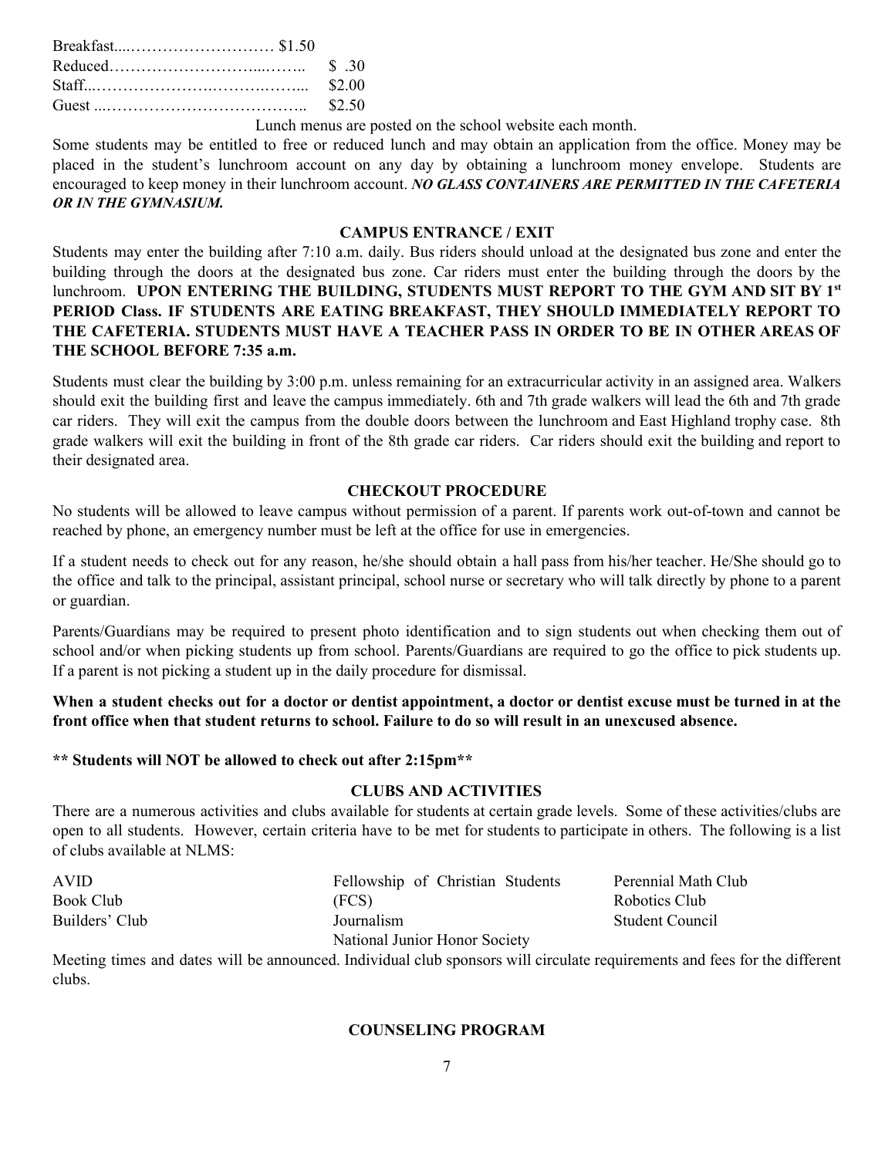Lunch menus are posted on the school website each month.

Some students may be entitled to free or reduced lunch and may obtain an application from the office. Money may be placed in the student's lunchroom account on any day by obtaining a lunchroom money envelope. Students are encouraged to keep money in their lunchroom account. *NO GLASS CONTAINERS ARE PERMITTED IN THE CAFETERIA OR IN THE GYMNASIUM.*

### **CAMPUS ENTRANCE / EXIT**

Students may enter the building after 7:10 a.m. daily. Bus riders should unload at the designated bus zone and enter the building through the doors at the designated bus zone. Car riders must enter the building through the doors by the lunchroom. **UPON ENTERING THE BUILDING, STUDENTS MUST REPORT TO THE GYM AND SIT BY 1 st PERIOD Class. IF STUDENTS ARE EATING BREAKFAST, THEY SHOULD IMMEDIATELY REPORT TO THE CAFETERIA. STUDENTS MUST HAVE A TEACHER PASS IN ORDER TO BE IN OTHER AREAS OF THE SCHOOL BEFORE 7:35 a.m.**

Students must clear the building by 3:00 p.m. unless remaining for an extracurricular activity in an assigned area. Walkers should exit the building first and leave the campus immediately. 6th and 7th grade walkers will lead the 6th and 7th grade car riders. They will exit the campus from the double doors between the lunchroom and East Highland trophy case. 8th grade walkers will exit the building in front of the 8th grade car riders. Car riders should exit the building and report to their designated area.

### **CHECKOUT PROCEDURE**

No students will be allowed to leave campus without permission of a parent. If parents work out-of-town and cannot be reached by phone, an emergency number must be left at the office for use in emergencies.

If a student needs to check out for any reason, he/she should obtain a hall pass from his/her teacher. He/She should go to the office and talk to the principal, assistant principal, school nurse or secretary who will talk directly by phone to a parent or guardian.

Parents/Guardians may be required to present photo identification and to sign students out when checking them out of school and/or when picking students up from school. Parents/Guardians are required to go the office to pick students up. If a parent is not picking a student up in the daily procedure for dismissal.

When a student checks out for a doctor or dentist appointment, a doctor or dentist excuse must be turned in at the front office when that student returns to school. Failure to do so will result in an unexcused absence.

### **\*\* Students will NOT be allowed to check out after 2:15pm\*\***

### **CLUBS AND ACTIVITIES**

There are a numerous activities and clubs available for students at certain grade levels. Some of these activities/clubs are open to all students. However, certain criteria have to be met for students to participate in others. The following is a list of clubs available at NLMS:

| <b>AVID</b>    | Fellowship of Christian Students | Perennial Math Club |
|----------------|----------------------------------|---------------------|
| Book Club      | (FCS)                            | Robotics Club       |
| Builders' Club | Journalism                       | Student Council     |
|                | National Junior Honor Society    |                     |

Meeting times and dates will be announced. Individual club sponsors will circulate requirements and fees for the different clubs.

#### **COUNSELING PROGRAM**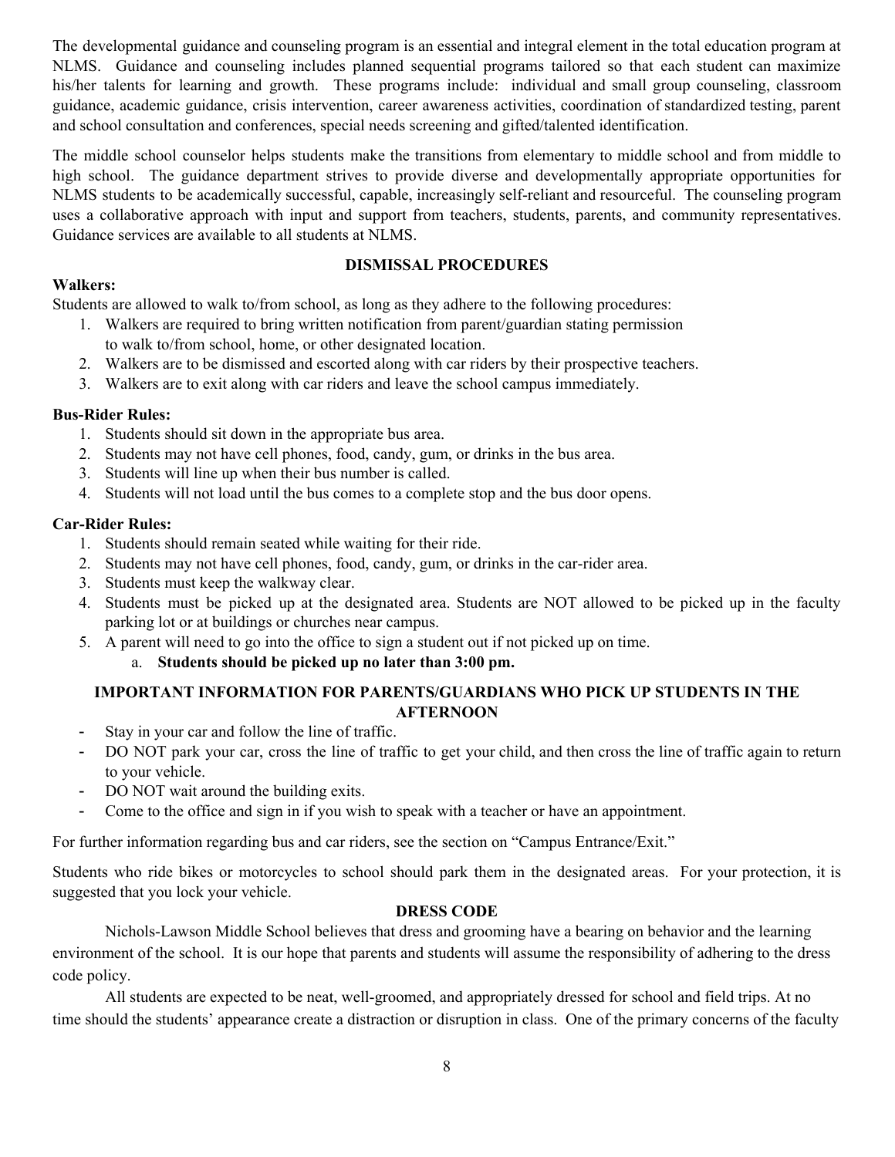The developmental guidance and counseling program is an essential and integral element in the total education program at NLMS. Guidance and counseling includes planned sequential programs tailored so that each student can maximize his/her talents for learning and growth. These programs include: individual and small group counseling, classroom guidance, academic guidance, crisis intervention, career awareness activities, coordination of standardized testing, parent and school consultation and conferences, special needs screening and gifted/talented identification.

The middle school counselor helps students make the transitions from elementary to middle school and from middle to high school. The guidance department strives to provide diverse and developmentally appropriate opportunities for NLMS students to be academically successful, capable, increasingly self-reliant and resourceful. The counseling program uses a collaborative approach with input and support from teachers, students, parents, and community representatives. Guidance services are available to all students at NLMS.

# **DISMISSAL PROCEDURES**

### **Walkers:**

Students are allowed to walk to/from school, as long as they adhere to the following procedures:

- 1. Walkers are required to bring written notification from parent/guardian stating permission to walk to/from school, home, or other designated location.
- 2. Walkers are to be dismissed and escorted along with car riders by their prospective teachers.
- 3. Walkers are to exit along with car riders and leave the school campus immediately.

### **Bus-Rider Rules:**

- 1. Students should sit down in the appropriate bus area.
- 2. Students may not have cell phones, food, candy, gum, or drinks in the bus area.
- 3. Students will line up when their bus number is called.
- 4. Students will not load until the bus comes to a complete stop and the bus door opens.

### **Car-Rider Rules:**

- 1. Students should remain seated while waiting for their ride.
- 2. Students may not have cell phones, food, candy, gum, or drinks in the car-rider area.
- 3. Students must keep the walkway clear.
- 4. Students must be picked up at the designated area. Students are NOT allowed to be picked up in the faculty parking lot or at buildings or churches near campus.
- 5. A parent will need to go into the office to sign a student out if not picked up on time.

### a. **Students should be picked up no later than 3:00 pm.**

## **IMPORTANT INFORMATION FOR PARENTS/GUARDIANS WHO PICK UP STUDENTS IN THE AFTERNOON**

- Stay in your car and follow the line of traffic.
- DO NOT park your car, cross the line of traffic to get your child, and then cross the line of traffic again to return to your vehicle.
- DO NOT wait around the building exits.
- Come to the office and sign in if you wish to speak with a teacher or have an appointment.

For further information regarding bus and car riders, see the section on "Campus Entrance/Exit."

Students who ride bikes or motorcycles to school should park them in the designated areas. For your protection, it is suggested that you lock your vehicle.

### **DRESS CODE**

Nichols-Lawson Middle School believes that dress and grooming have a bearing on behavior and the learning environment of the school. It is our hope that parents and students will assume the responsibility of adhering to the dress code policy.

All students are expected to be neat, well-groomed, and appropriately dressed for school and field trips. At no time should the students' appearance create a distraction or disruption in class. One of the primary concerns of the faculty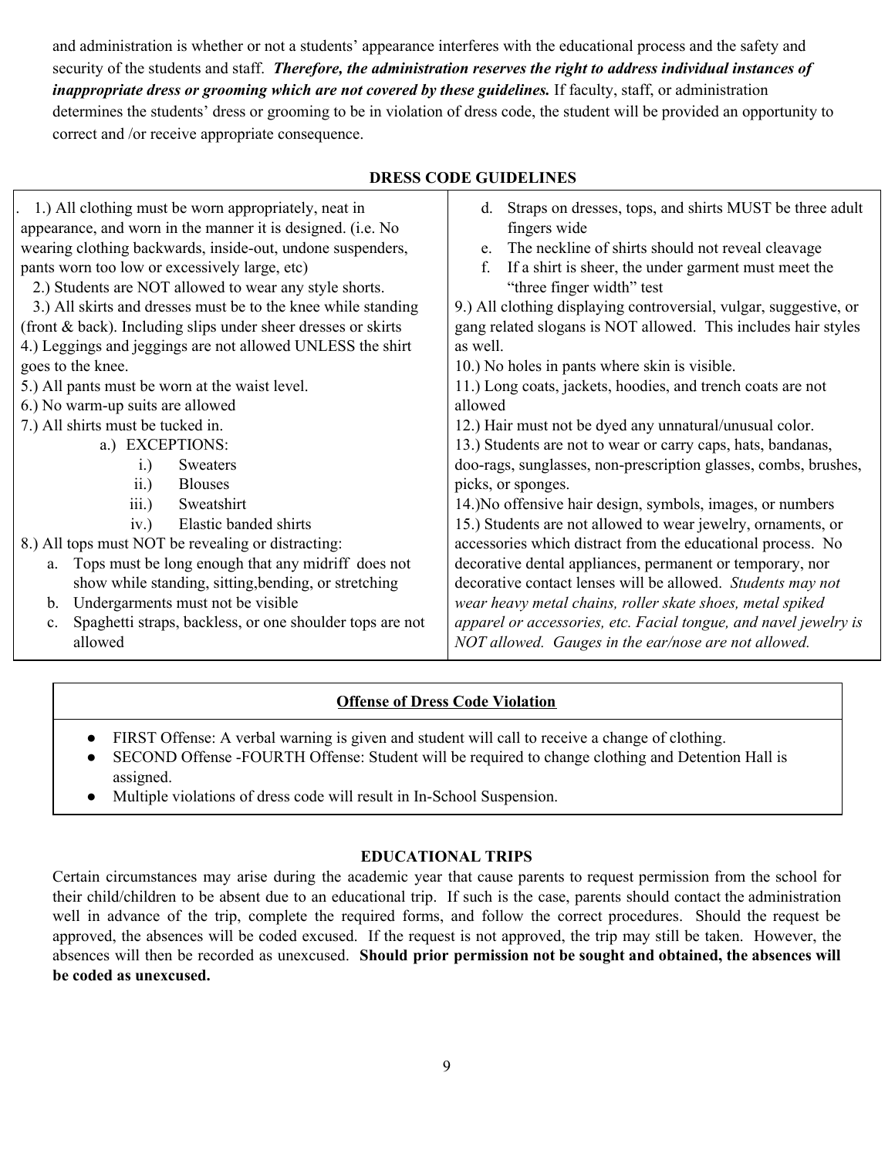and administration is whether or not a students' appearance interferes with the educational process and the safety and security of the students and staff. *Therefore, the administration reserves the right to address individual instances of inappropriate dress or grooming which are not covered by these guidelines.* If faculty, staff, or administration determines the students' dress or grooming to be in violation of dress code, the student will be provided an opportunity to

correct and /or receive appropriate consequence.

| 1.) All clothing must be worn appropriately, neat in<br>appearance, and worn in the manner it is designed. (i.e. No<br>wearing clothing backwards, inside-out, undone suspenders,<br>pants worn too low or excessively large, etc)<br>2.) Students are NOT allowed to wear any style shorts.<br>3.) All skirts and dresses must be to the knee while standing<br>(front & back). Including slips under sheer dresses or skirts<br>4.) Leggings and jeggings are not allowed UNLESS the shirt<br>goes to the knee.<br>5.) All pants must be worn at the waist level.<br>6.) No warm-up suits are allowed<br>7.) All shirts must be tucked in.<br>a.) EXCEPTIONS:<br>Sweaters<br>$i$ .<br><b>Blouses</b><br>ii.<br>Sweatshirt<br>iii.)<br>Elastic banded shirts<br>iv.)<br>8.) All tops must NOT be revealing or distracting:<br>a. Tops must be long enough that any midriff does not<br>show while standing, sitting, bending, or stretching<br>Undergarments must not be visible<br>$b_{\cdot}$<br>Spaghetti straps, backless, or one shoulder tops are not<br>$c_{\cdot}$<br>allowed | d. Straps on dresses, tops, and shirts MUST be three adult<br>fingers wide<br>e. The neckline of shirts should not reveal cleavage<br>If a shirt is sheer, the under garment must meet the<br>f.<br>"three finger width" test<br>9.) All clothing displaying controversial, vulgar, suggestive, or<br>gang related slogans is NOT allowed. This includes hair styles<br>as well.<br>10.) No holes in pants where skin is visible.<br>11.) Long coats, jackets, hoodies, and trench coats are not<br>allowed<br>12.) Hair must not be dyed any unnatural/unusual color.<br>13.) Students are not to wear or carry caps, hats, bandanas,<br>doo-rags, sunglasses, non-prescription glasses, combs, brushes,<br>picks, or sponges.<br>14.) No offensive hair design, symbols, images, or numbers<br>15.) Students are not allowed to wear jewelry, ornaments, or<br>accessories which distract from the educational process. No<br>decorative dental appliances, permanent or temporary, nor<br>decorative contact lenses will be allowed. Students may not<br>wear heavy metal chains, roller skate shoes, metal spiked<br>apparel or accessories, etc. Facial tongue, and navel jewelry is<br>NOT allowed. Gauges in the ear/nose are not allowed. |
|----------------------------------------------------------------------------------------------------------------------------------------------------------------------------------------------------------------------------------------------------------------------------------------------------------------------------------------------------------------------------------------------------------------------------------------------------------------------------------------------------------------------------------------------------------------------------------------------------------------------------------------------------------------------------------------------------------------------------------------------------------------------------------------------------------------------------------------------------------------------------------------------------------------------------------------------------------------------------------------------------------------------------------------------------------------------------------------|---------------------------------------------------------------------------------------------------------------------------------------------------------------------------------------------------------------------------------------------------------------------------------------------------------------------------------------------------------------------------------------------------------------------------------------------------------------------------------------------------------------------------------------------------------------------------------------------------------------------------------------------------------------------------------------------------------------------------------------------------------------------------------------------------------------------------------------------------------------------------------------------------------------------------------------------------------------------------------------------------------------------------------------------------------------------------------------------------------------------------------------------------------------------------------------------------------------------------------------------------|
|----------------------------------------------------------------------------------------------------------------------------------------------------------------------------------------------------------------------------------------------------------------------------------------------------------------------------------------------------------------------------------------------------------------------------------------------------------------------------------------------------------------------------------------------------------------------------------------------------------------------------------------------------------------------------------------------------------------------------------------------------------------------------------------------------------------------------------------------------------------------------------------------------------------------------------------------------------------------------------------------------------------------------------------------------------------------------------------|---------------------------------------------------------------------------------------------------------------------------------------------------------------------------------------------------------------------------------------------------------------------------------------------------------------------------------------------------------------------------------------------------------------------------------------------------------------------------------------------------------------------------------------------------------------------------------------------------------------------------------------------------------------------------------------------------------------------------------------------------------------------------------------------------------------------------------------------------------------------------------------------------------------------------------------------------------------------------------------------------------------------------------------------------------------------------------------------------------------------------------------------------------------------------------------------------------------------------------------------------|

# **Offense of Dress Code Violation**

- FIRST Offense: A verbal warning is given and student will call to receive a change of clothing.
- SECOND Offense -FOURTH Offense: Student will be required to change clothing and Detention Hall is assigned.
- Multiple violations of dress code will result in In-School Suspension.

## **EDUCATIONAL TRIPS**

Certain circumstances may arise during the academic year that cause parents to request permission from the school for their child/children to be absent due to an educational trip. If such is the case, parents should contact the administration well in advance of the trip, complete the required forms, and follow the correct procedures. Should the request be approved, the absences will be coded excused. If the request is not approved, the trip may still be taken. However, the absences will then be recorded as unexcused. **Should prior permission not be sought and obtained, the absences will be coded as unexcused.**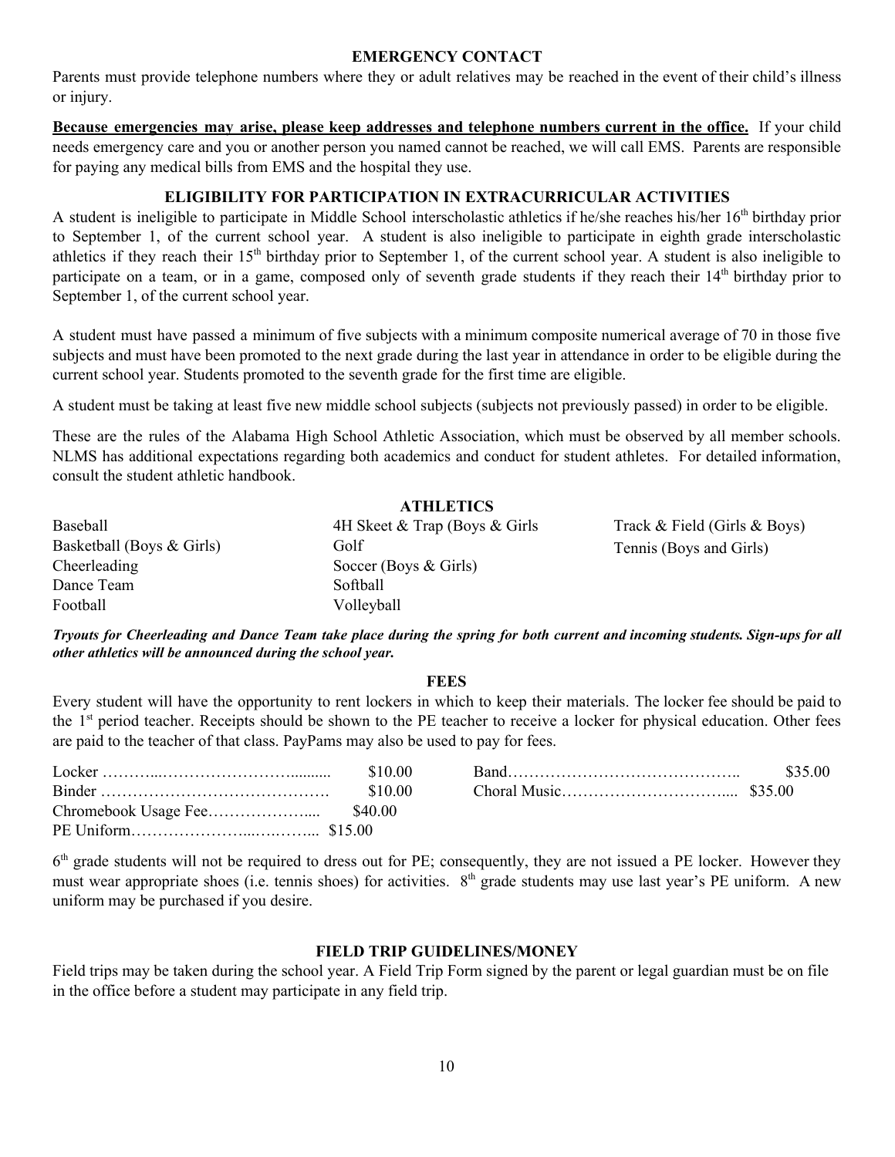### **EMERGENCY CONTACT**

Parents must provide telephone numbers where they or adult relatives may be reached in the event of their child's illness or injury.

**Because emergencies may arise, please keep addresses and telephone numbers current in the office.** If your child needs emergency care and you or another person you named cannot be reached, we will call EMS. Parents are responsible for paying any medical bills from EMS and the hospital they use.

## **ELIGIBILITY FOR PARTICIPATION IN EXTRACURRICULAR ACTIVITIES**

A student is ineligible to participate in Middle School interscholastic athletics if he/she reaches his/her 16<sup>th</sup> birthday prior to September 1, of the current school year. A student is also ineligible to participate in eighth grade interscholastic athletics if they reach their  $15<sup>th</sup>$  birthday prior to September 1, of the current school year. A student is also ineligible to participate on a team, or in a game, composed only of seventh grade students if they reach their 14<sup>th</sup> birthday prior to September 1, of the current school year.

A student must have passed a minimum of five subjects with a minimum composite numerical average of 70 in those five subjects and must have been promoted to the next grade during the last year in attendance in order to be eligible during the current school year. Students promoted to the seventh grade for the first time are eligible.

A student must be taking at least five new middle school subjects (subjects not previously passed) in order to be eligible.

These are the rules of the Alabama High School Athletic Association, which must be observed by all member schools. NLMS has additional expectations regarding both academics and conduct for student athletes. For detailed information, consult the student athletic handbook.

| <b>ATHLETICS</b>          |                                |                              |
|---------------------------|--------------------------------|------------------------------|
| Baseball                  | 4H Skeet & Trap (Boys & Girls) | Track & Field (Girls & Boys) |
| Basketball (Boys & Girls) | Golf                           | Tennis (Boys and Girls)      |
| Cheerleading              | Soccer (Boys $& Girls$ )       |                              |
| Dance Team                | Softball                       |                              |
| Football                  | Volleyball                     |                              |

Tryouts for Cheerleading and Dance Team take place during the spring for both current and incoming students. Sign-ups for all *other athletics will be announced during the school year.*

## **FEES**

Every student will have the opportunity to rent lockers in which to keep their materials. The locker fee should be paid to the 1<sup>st</sup> period teacher. Receipts should be shown to the PE teacher to receive a locker for physical education. Other fees are paid to the teacher of that class. PayPams may also be used to pay for fees.

| \$10.00 | \$35.00 |
|---------|---------|
| \$10.00 |         |
|         |         |
|         |         |

6<sup>th</sup> grade students will not be required to dress out for PE; consequently, they are not issued a PE locker. However they must wear appropriate shoes (i.e. tennis shoes) for activities. 8<sup>th</sup> grade students may use last year's PE uniform. A new uniform may be purchased if you desire.

### **FIELD TRIP GUIDELINES/MONEY**

Field trips may be taken during the school year. A Field Trip Form signed by the parent or legal guardian must be on file in the office before a student may participate in any field trip.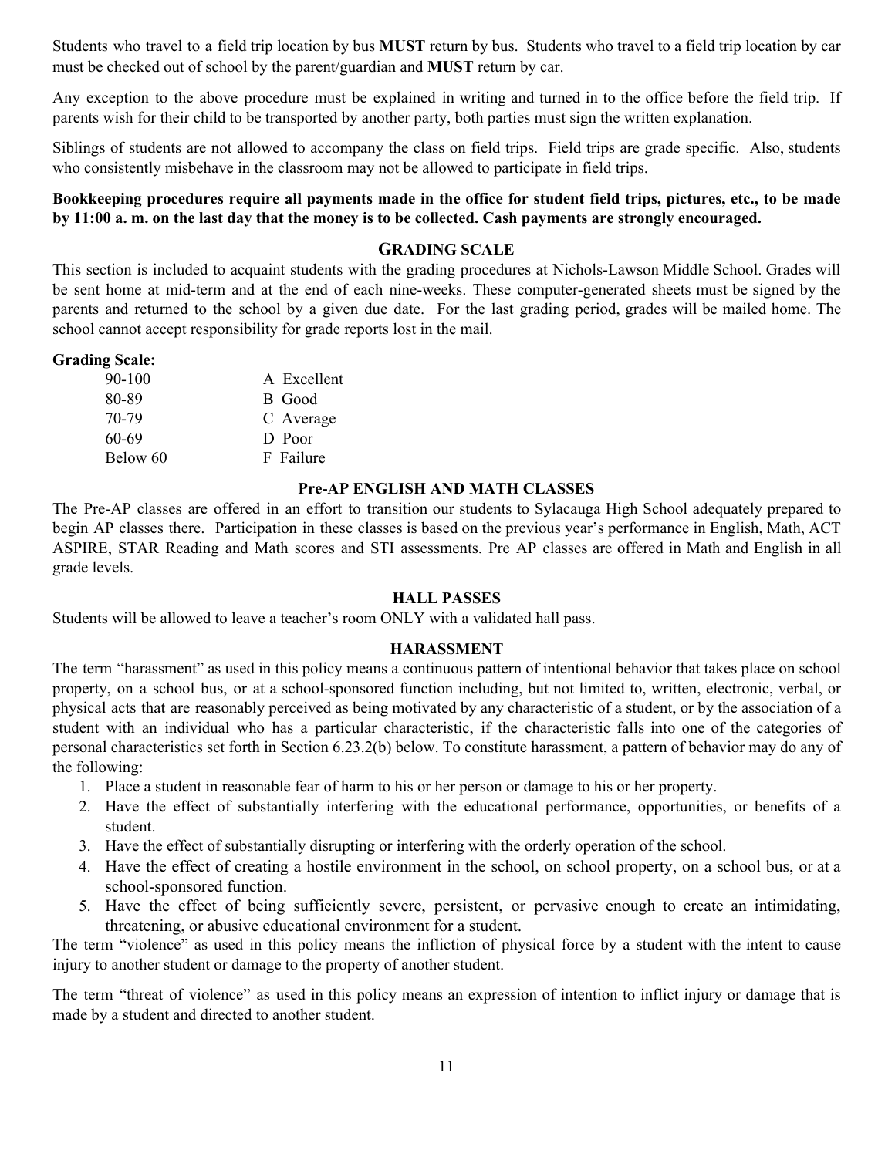Students who travel to a field trip location by bus **MUST** return by bus. Students who travel to a field trip location by car must be checked out of school by the parent/guardian and **MUST** return by car.

Any exception to the above procedure must be explained in writing and turned in to the office before the field trip. If parents wish for their child to be transported by another party, both parties must sign the written explanation.

Siblings of students are not allowed to accompany the class on field trips. Field trips are grade specific. Also, students who consistently misbehave in the classroom may not be allowed to participate in field trips.

### Bookkeeping procedures require all payments made in the office for student field trips, pictures, etc., to be made by 11:00 a. m. on the last day that the money is to be collected. Cash payments are strongly encouraged.

# **GRADING SCALE**

This section is included to acquaint students with the grading procedures at Nichols-Lawson Middle School. Grades will be sent home at mid-term and at the end of each nine-weeks. These computer-generated sheets must be signed by the parents and returned to the school by a given due date. For the last grading period, grades will be mailed home. The school cannot accept responsibility for grade reports lost in the mail.

### **Grading Scale:**

| $90 - 100$ | A Excellent |
|------------|-------------|
| 80-89      | B Good      |
| 70-79      | C Average   |
| 60-69      | D Poor      |
| Below 60   | F Failure   |

### **Pre-AP ENGLISH AND MATH CLASSES**

The Pre-AP classes are offered in an effort to transition our students to Sylacauga High School adequately prepared to begin AP classes there. Participation in these classes is based on the previous year's performance in English, Math, ACT ASPIRE, STAR Reading and Math scores and STI assessments. Pre AP classes are offered in Math and English in all grade levels.

### **HALL PASSES**

Students will be allowed to leave a teacher's room ONLY with a validated hall pass.

### **HARASSMENT**

The term "harassment" as used in this policy means a continuous pattern of intentional behavior that takes place on school property, on a school bus, or at a school-sponsored function including, but not limited to, written, electronic, verbal, or physical acts that are reasonably perceived as being motivated by any characteristic of a student, or by the association of a student with an individual who has a particular characteristic, if the characteristic falls into one of the categories of personal characteristics set forth in Section 6.23.2(b) below. To constitute harassment, a pattern of behavior may do any of the following:

- 1. Place a student in reasonable fear of harm to his or her person or damage to his or her property.
- 2. Have the effect of substantially interfering with the educational performance, opportunities, or benefits of a student.
- 3. Have the effect of substantially disrupting or interfering with the orderly operation of the school.
- 4. Have the effect of creating a hostile environment in the school, on school property, on a school bus, or at a school-sponsored function.
- 5. Have the effect of being sufficiently severe, persistent, or pervasive enough to create an intimidating, threatening, or abusive educational environment for a student.

The term "violence" as used in this policy means the infliction of physical force by a student with the intent to cause injury to another student or damage to the property of another student.

The term "threat of violence" as used in this policy means an expression of intention to inflict injury or damage that is made by a student and directed to another student.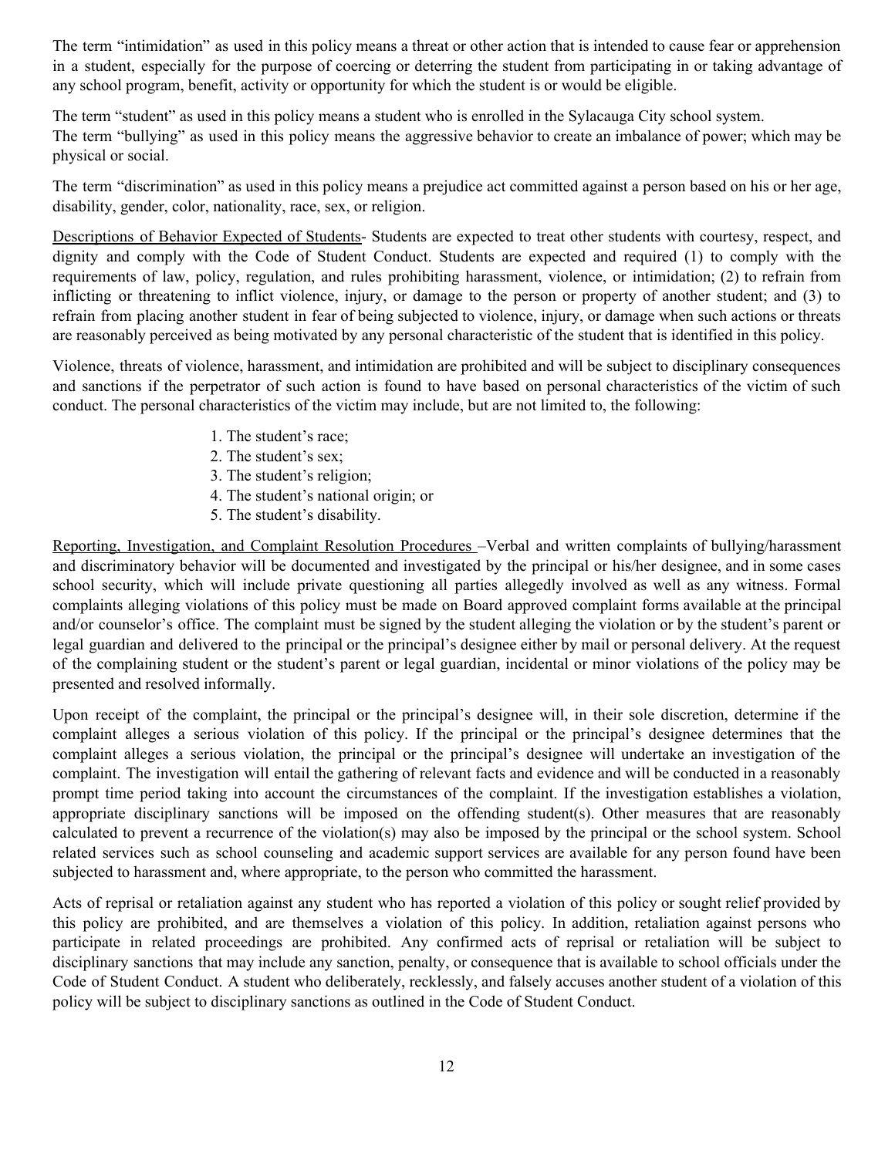The term "intimidation" as used in this policy means a threat or other action that is intended to cause fear or apprehension in a student, especially for the purpose of coercing or deterring the student from participating in or taking advantage of any school program, benefit, activity or opportunity for which the student is or would be eligible.

The term "student" as used in this policy means a student who is enrolled in the Sylacauga City school system. The term "bullying" as used in this policy means the aggressive behavior to create an imbalance of power; which may be physical or social.

The term "discrimination" as used in this policy means a prejudice act committed against a person based on his or her age, disability, gender, color, nationality, race, sex, or religion.

Descriptions of Behavior Expected of Students- Students are expected to treat other students with courtesy, respect, and dignity and comply with the Code of Student Conduct. Students are expected and required (1) to comply with the requirements of law, policy, regulation, and rules prohibiting harassment, violence, or intimidation; (2) to refrain from inflicting or threatening to inflict violence, injury, or damage to the person or property of another student; and (3) to refrain from placing another student in fear of being subjected to violence, injury, or damage when such actions or threats are reasonably perceived as being motivated by any personal characteristic of the student that is identified in this policy.

Violence, threats of violence, harassment, and intimidation are prohibited and will be subject to disciplinary consequences and sanctions if the perpetrator of such action is found to have based on personal characteristics of the victim of such conduct. The personal characteristics of the victim may include, but are not limited to, the following:

- 1. The student's race;
- 2. The student's sex;
- 3. The student's religion;
- 4. The student's national origin; or
- 5. The student's disability.

Reporting, Investigation, and Complaint Resolution Procedures –Verbal and written complaints of bullying/harassment and discriminatory behavior will be documented and investigated by the principal or his/her designee, and in some cases school security, which will include private questioning all parties allegedly involved as well as any witness. Formal complaints alleging violations of this policy must be made on Board approved complaint forms available at the principal and/or counselor's office. The complaint must be signed by the student alleging the violation or by the student's parent or legal guardian and delivered to the principal or the principal's designee either by mail or personal delivery. At the request of the complaining student or the student's parent or legal guardian, incidental or minor violations of the policy may be presented and resolved informally.

Upon receipt of the complaint, the principal or the principal's designee will, in their sole discretion, determine if the complaint alleges a serious violation of this policy. If the principal or the principal's designee determines that the complaint alleges a serious violation, the principal or the principal's designee will undertake an investigation of the complaint. The investigation will entail the gathering of relevant facts and evidence and will be conducted in a reasonably prompt time period taking into account the circumstances of the complaint. If the investigation establishes a violation, appropriate disciplinary sanctions will be imposed on the offending student(s). Other measures that are reasonably calculated to prevent a recurrence of the violation(s) may also be imposed by the principal or the school system. School related services such as school counseling and academic support services are available for any person found have been subjected to harassment and, where appropriate, to the person who committed the harassment.

Acts of reprisal or retaliation against any student who has reported a violation of this policy or sought relief provided by this policy are prohibited, and are themselves a violation of this policy. In addition, retaliation against persons who participate in related proceedings are prohibited. Any confirmed acts of reprisal or retaliation will be subject to disciplinary sanctions that may include any sanction, penalty, or consequence that is available to school officials under the Code of Student Conduct. A student who deliberately, recklessly, and falsely accuses another student of a violation of this policy will be subject to disciplinary sanctions as outlined in the Code of Student Conduct.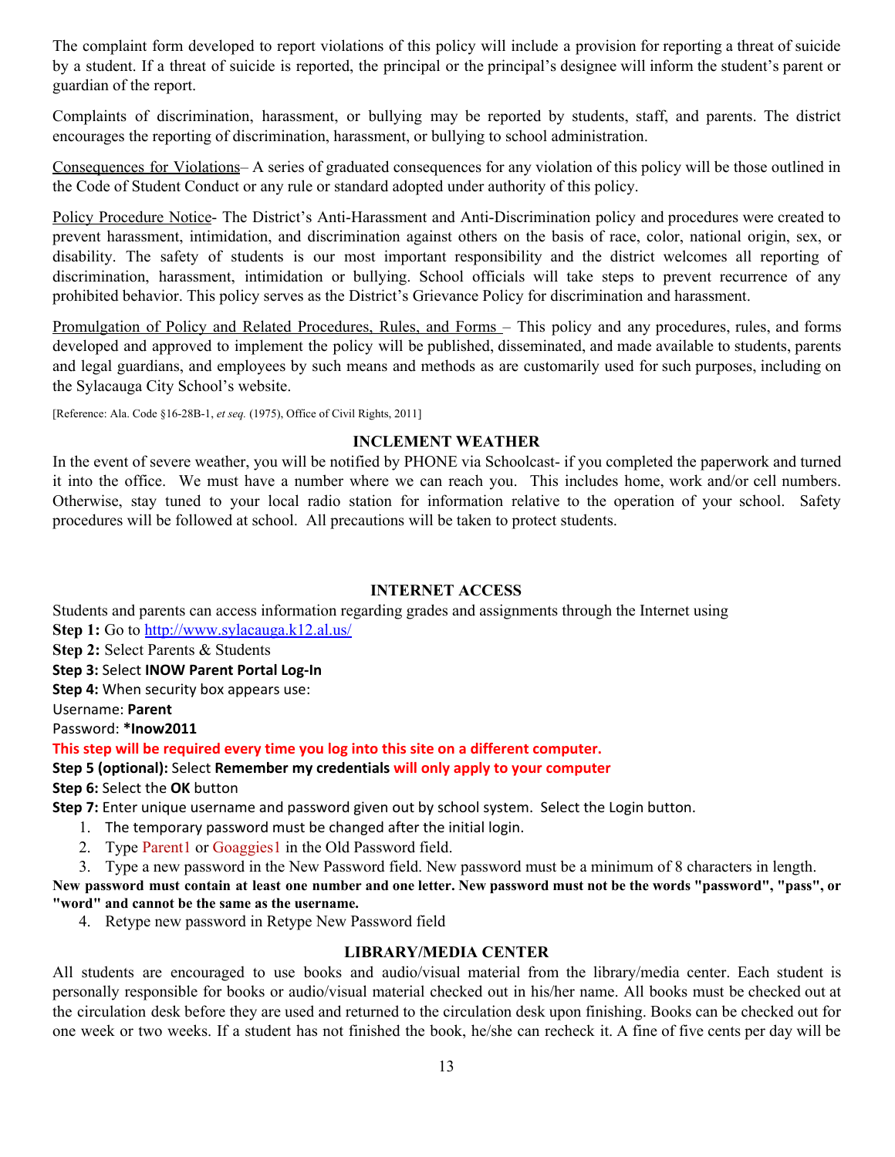The complaint form developed to report violations of this policy will include a provision for reporting a threat of suicide by a student. If a threat of suicide is reported, the principal or the principal's designee will inform the student's parent or guardian of the report.

Complaints of discrimination, harassment, or bullying may be reported by students, staff, and parents. The district encourages the reporting of discrimination, harassment, or bullying to school administration.

Consequences for Violations– A series of graduated consequences for any violation of this policy will be those outlined in the Code of Student Conduct or any rule or standard adopted under authority of this policy.

Policy Procedure Notice- The District's Anti-Harassment and Anti-Discrimination policy and procedures were created to prevent harassment, intimidation, and discrimination against others on the basis of race, color, national origin, sex, or disability. The safety of students is our most important responsibility and the district welcomes all reporting of discrimination, harassment, intimidation or bullying. School officials will take steps to prevent recurrence of any prohibited behavior. This policy serves as the District's Grievance Policy for discrimination and harassment.

Promulgation of Policy and Related Procedures, Rules, and Forms – This policy and any procedures, rules, and forms developed and approved to implement the policy will be published, disseminated, and made available to students, parents and legal guardians, and employees by such means and methods as are customarily used for such purposes, including on the Sylacauga City School's website.

[Reference: Ala. Code §16-28B-1, *et seq.* (1975), Office of Civil Rights, 2011]

### **INCLEMENT WEATHER**

In the event of severe weather, you will be notified by PHONE via Schoolcast- if you completed the paperwork and turned it into the office. We must have a number where we can reach you. This includes home, work and/or cell numbers. Otherwise, stay tuned to your local radio station for information relative to the operation of your school. Safety procedures will be followed at school. All precautions will be taken to protect students.

### **INTERNET ACCESS**

Students and parents can access information regarding grades and assignments through the Internet using **Step 1:** Go to <http://www.sylacauga.k12.al.us/>

**Step 2:** Select Parents & Students

**Step 3:** Select **INOW Parent Portal Log-In**

**Step 4:** When security box appears use:

Username: **Parent**

Password: **\*Inow2011**

### **This step will be required every time you log into this site on a different computer.**

### **Step 5 (optional):** Select **Remember my credentials will only apply to your computer**

**Step 6:** Select the **OK** button

**Step 7:** Enter unique username and password given out by school system. Select the Login button.

- 1. The temporary password must be changed after the initial login.
- 2. Type Parent1 or Goaggies1 in the Old Password field.

3. Type a new password in the New Password field. New password must be a minimum of 8 characters in length.

New password must contain at least one number and one letter. New password must not be the words "password", "pass", or **"word" and cannot be the same as the username.**

4. Retype new password in Retype New Password field

### **LIBRARY/MEDIA CENTER**

All students are encouraged to use books and audio/visual material from the library/media center. Each student is personally responsible for books or audio/visual material checked out in his/her name. All books must be checked out at the circulation desk before they are used and returned to the circulation desk upon finishing. Books can be checked out for one week or two weeks. If a student has not finished the book, he/she can recheck it. A fine of five cents per day will be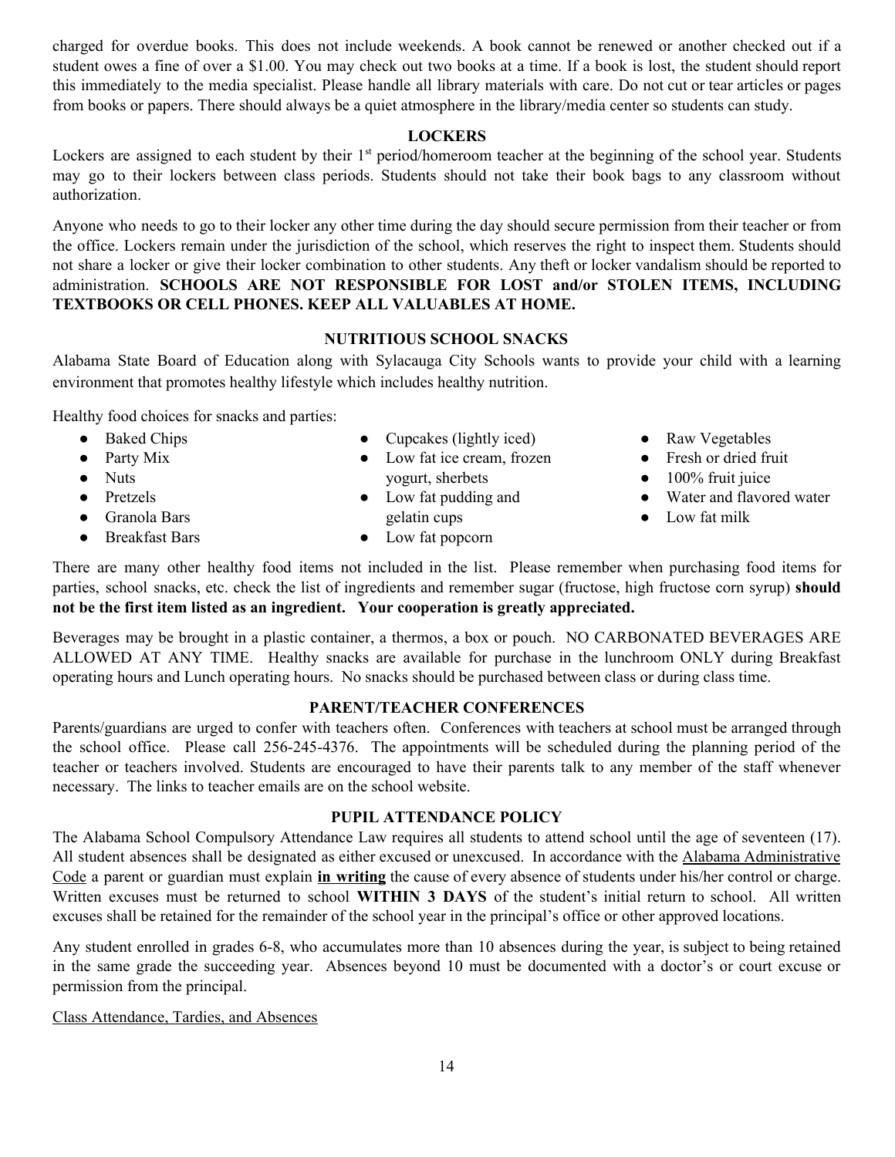charged for overdue books. This does not include weekends. A book cannot be renewed or another checked out if a student owes a fine of over a \$1.00. You may check out two books at a time. If a book is lost, the student should report this immediately to the media specialist. Please handle all library materials with care. Do not cut or tear articles or pages from books or papers. There should always be a quiet atmosphere in the library/media center so students can study.

### **LOCKERS**

Lockers are assigned to each student by their 1<sup>st</sup> period/homeroom teacher at the beginning of the school year. Students may go to their lockers between class periods. Students should not take their book bags to any classroom without authorization.

Anyone who needs to go to their locker any other time during the day should secure permission from their teacher or from the office. Lockers remain under the jurisdiction of the school, which reserves the right to inspect them. Students should not share a locker or give their locker combination to other students. Any theft or locker vandalism should be reported to administration. **SCHOOLS ARE NOT RESPONSIBLE FOR LOST and/or STOLEN ITEMS, INCLUDING TEXTBOOKS OR CELL PHONES. KEEP ALL VALUABLES AT HOME.**

### **NUTRITIOUS SCHOOL SNACKS**

Alabama State Board of Education along with Sylacauga City Schools wants to provide your child with a learning environment that promotes healthy lifestyle which includes healthy nutrition.

Healthy food choices for snacks and parties:

- Baked Chips
- Party Mix
- Nuts
- Pretzels
- Granola Bars
- Breakfast Bars
- Cupcakes (lightly iced)
- Low fat ice cream, frozen yogurt, sherbets
- Low fat pudding and gelatin cups
- Low fat popcorn
- Raw Vegetables
- Fresh or dried fruit
- $\bullet$  100% fruit juice
- Water and flavored water
- Low fat milk

There are many other healthy food items not included in the list. Please remember when purchasing food items for parties, school snacks, etc. check the list of ingredients and remember sugar (fructose, high fructose corn syrup) **should not be the first item listed as an ingredient. Your cooperation is greatly appreciated.**

Beverages may be brought in a plastic container, a thermos, a box or pouch. NO CARBONATED BEVERAGES ARE ALLOWED AT ANY TIME. Healthy snacks are available for purchase in the lunchroom ONLY during Breakfast operating hours and Lunch operating hours. No snacks should be purchased between class or during class time.

### **PARENT/TEACHER CONFERENCES**

Parents/guardians are urged to confer with teachers often. Conferences with teachers at school must be arranged through the school office. Please call 256-245-4376. The appointments will be scheduled during the planning period of the teacher or teachers involved. Students are encouraged to have their parents talk to any member of the staff whenever necessary. The links to teacher emails are on the school website.

### **PUPIL ATTENDANCE POLICY**

The Alabama School Compulsory Attendance Law requires all students to attend school until the age of seventeen (17). All student absences shall be designated as either excused or unexcused. In accordance with the Alabama Administrative Code a parent or guardian must explain **in writing** the cause of every absence of students under his/her control or charge. Written excuses must be returned to school **WITHIN 3 DAYS** of the student's initial return to school. All written excuses shall be retained for the remainder of the school year in the principal's office or other approved locations.

Any student enrolled in grades 6-8, who accumulates more than 10 absences during the year, is subject to being retained in the same grade the succeeding year. Absences beyond 10 must be documented with a doctor's or court excuse or permission from the principal.

Class Attendance, Tardies, and Absences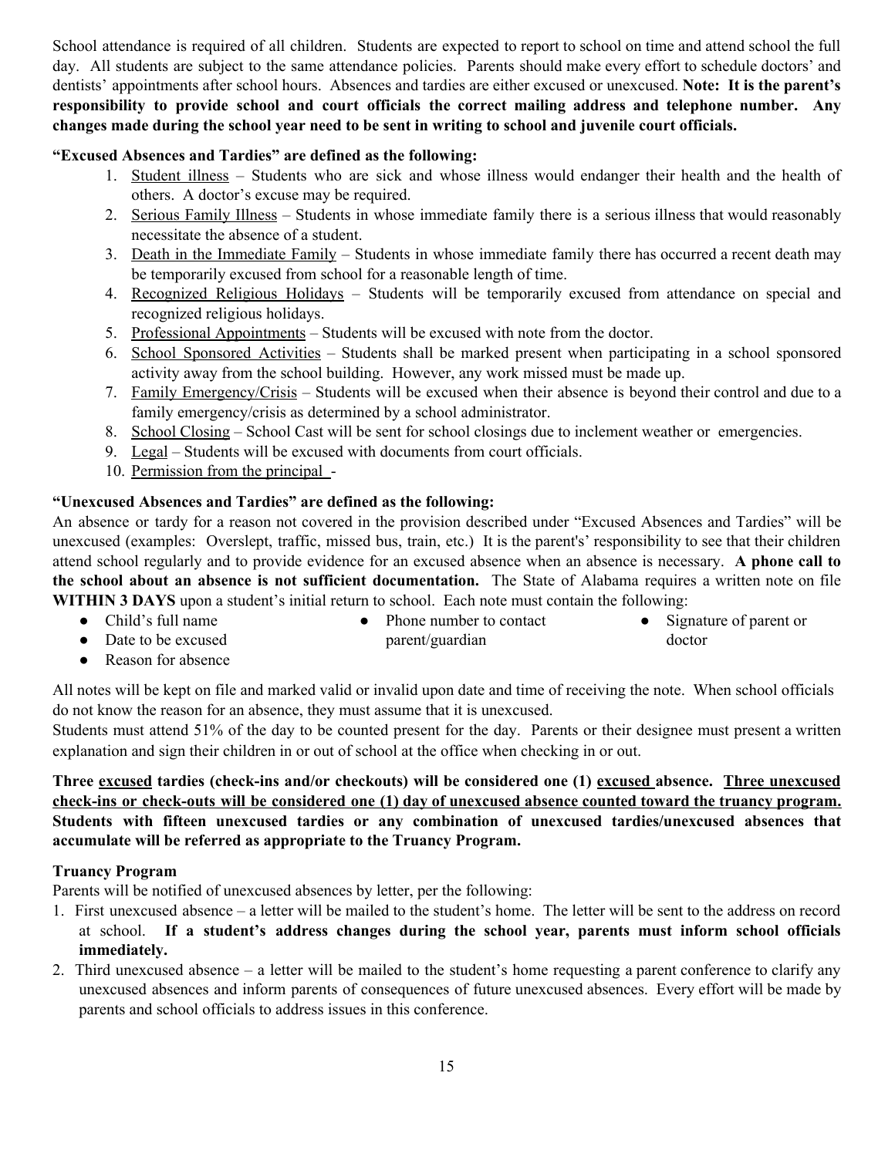School attendance is required of all children. Students are expected to report to school on time and attend school the full day. All students are subject to the same attendance policies. Parents should make every effort to schedule doctors' and dentists' appointments after school hours. Absences and tardies are either excused or unexcused. **Note: It is the parent's responsibility to provide school and court officials the correct mailing address and telephone number. Any** changes made during the school year need to be sent in writing to school and juvenile court officials.

# **"Excused Absences and Tardies" are defined as the following:**

- 1. Student illness Students who are sick and whose illness would endanger their health and the health of others. A doctor's excuse may be required.
- 2. Serious Family Illness Students in whose immediate family there is a serious illness that would reasonably necessitate the absence of a student.
- 3. Death in the Immediate Family Students in whose immediate family there has occurred a recent death may be temporarily excused from school for a reasonable length of time.
- 4. Recognized Religious Holidays Students will be temporarily excused from attendance on special and recognized religious holidays.
- 5. Professional Appointments Students will be excused with note from the doctor.
- 6. School Sponsored Activities Students shall be marked present when participating in a school sponsored activity away from the school building. However, any work missed must be made up.
- 7. Family Emergency/Crisis Students will be excused when their absence is beyond their control and due to a family emergency/crisis as determined by a school administrator.
- 8. School Closing School Cast will be sent for school closings due to inclement weather or emergencies.
- 9. Legal Students will be excused with documents from court officials.
- 10. Permission from the principal -

# **"Unexcused Absences and Tardies" are defined as the following:**

An absence or tardy for a reason not covered in the provision described under "Excused Absences and Tardies" will be unexcused (examples: Overslept, traffic, missed bus, train, etc.) It is the parent's' responsibility to see that their children attend school regularly and to provide evidence for an excused absence when an absence is necessary. **A phone call to the school about an absence is not sufficient documentation.** The State of Alabama requires a written note on file

- **WITHIN 3 DAYS** upon a student's initial return to school. Each note must contain the following:<br>
Child's full name<br>
Phone number to contact ● Child's full name • Phone number to contact Signature of parent or
	- Date to be excused parent/guardian doctor
	- Reason for absence

All notes will be kept on file and marked valid or invalid upon date and time of receiving the note. When school officials do not know the reason for an absence, they must assume that it is unexcused.

Students must attend 51% of the day to be counted present for the day. Parents or their designee must present a written explanation and sign their children in or out of school at the office when checking in or out.

# **Three excused tardies (check-ins and/or checkouts) will be considered one (1) excused absence. Three unexcused** check-ins or check-outs will be considered one (1) day of unexcused absence counted toward the truancy program. **Students with fifteen unexcused tardies or any combination of unexcused tardies/unexcused absences that accumulate will be referred as appropriate to the Truancy Program.**

## **Truancy Program**

Parents will be notified of unexcused absences by letter, per the following:

- 1. First unexcused absence a letter will be mailed to the student's home. The letter will be sent to the address on record at school. **If a student's address changes during the school year, parents must inform school officials immediately.**
- 2. Third unexcused absence a letter will be mailed to the student's home requesting a parent conference to clarify any unexcused absences and inform parents of consequences of future unexcused absences. Every effort will be made by parents and school officials to address issues in this conference.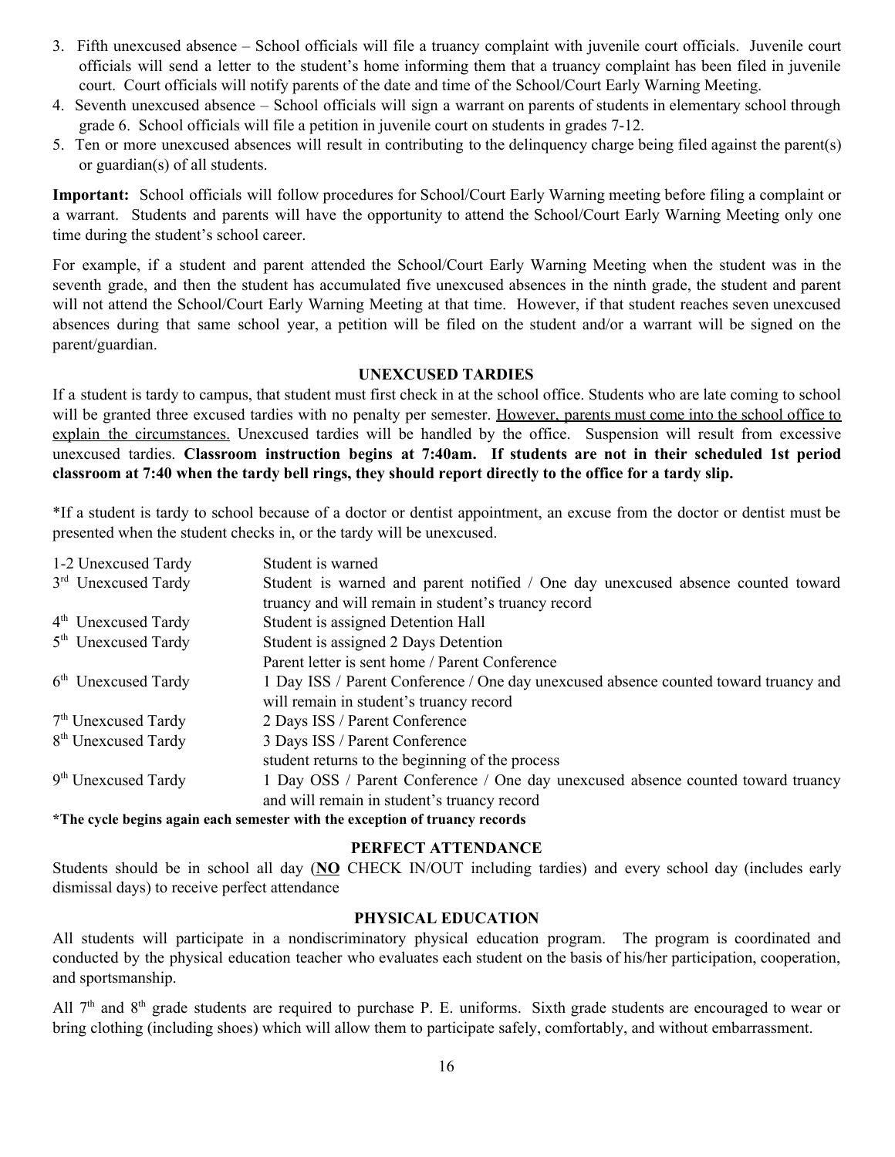- 3. Fifth unexcused absence School officials will file a truancy complaint with juvenile court officials. Juvenile court officials will send a letter to the student's home informing them that a truancy complaint has been filed in juvenile court. Court officials will notify parents of the date and time of the School/Court Early Warning Meeting.
- 4. Seventh unexcused absence School officials will sign a warrant on parents of students in elementary school through grade 6. School officials will file a petition in juvenile court on students in grades 7-12.
- 5. Ten or more unexcused absences will result in contributing to the delinquency charge being filed against the parent(s) or guardian(s) of all students.

**Important:** School officials will follow procedures for School/Court Early Warning meeting before filing a complaint or a warrant. Students and parents will have the opportunity to attend the School/Court Early Warning Meeting only one time during the student's school career.

For example, if a student and parent attended the School/Court Early Warning Meeting when the student was in the seventh grade, and then the student has accumulated five unexcused absences in the ninth grade, the student and parent will not attend the School/Court Early Warning Meeting at that time. However, if that student reaches seven unexcused absences during that same school year, a petition will be filed on the student and/or a warrant will be signed on the parent/guardian.

#### **UNEXCUSED TARDIES**

If a student is tardy to campus, that student must first check in at the school office. Students who are late coming to school will be granted three excused tardies with no penalty per semester. However, parents must come into the school office to explain the circumstances. Unexcused tardies will be handled by the office. Suspension will result from excessive unexcused tardies. **Classroom instruction begins at 7:40am. If students are not in their scheduled 1st period** classroom at 7:40 when the tardy bell rings, they should report directly to the office for a tardy slip.

\*If a student is tardy to school because of a doctor or dentist appointment, an excuse from the doctor or dentist must be presented when the student checks in, or the tardy will be unexcused.

| 1-2 Unexcused Tardy             | Student is warned                                                                    |
|---------------------------------|--------------------------------------------------------------------------------------|
| 3 <sup>rd</sup> Unexcused Tardy | Student is warned and parent notified / One day unexcused absence counted toward     |
|                                 | truancy and will remain in student's truancy record                                  |
| 4 <sup>th</sup> Unexcused Tardy | Student is assigned Detention Hall                                                   |
| 5 <sup>th</sup> Unexcused Tardy | Student is assigned 2 Days Detention                                                 |
|                                 | Parent letter is sent home / Parent Conference                                       |
| 6 <sup>th</sup> Unexcused Tardy | 1 Day ISS / Parent Conference / One day unexcused absence counted toward truancy and |
|                                 | will remain in student's truancy record                                              |
| $7th$ Unexcused Tardy           | 2 Days ISS / Parent Conference                                                       |
| 8 <sup>th</sup> Unexcused Tardy | 3 Days ISS / Parent Conference                                                       |
|                                 | student returns to the beginning of the process                                      |
| 9 <sup>th</sup> Unexcused Tardy | 1 Day OSS / Parent Conference / One day unexcused absence counted toward truancy     |
|                                 | and will remain in student's truancy record                                          |
|                                 |                                                                                      |

**\*The cycle begins again each semester with the exception of truancy records**

### **PERFECT ATTENDANCE**

Students should be in school all day (**NO** CHECK IN/OUT including tardies) and every school day (includes early dismissal days) to receive perfect attendance

### **PHYSICAL EDUCATION**

All students will participate in a nondiscriminatory physical education program. The program is coordinated and conducted by the physical education teacher who evaluates each student on the basis of his/her participation, cooperation, and sportsmanship.

All  $7<sup>th</sup>$  and  $8<sup>th</sup>$  grade students are required to purchase P. E. uniforms. Sixth grade students are encouraged to wear or bring clothing (including shoes) which will allow them to participate safely, comfortably, and without embarrassment.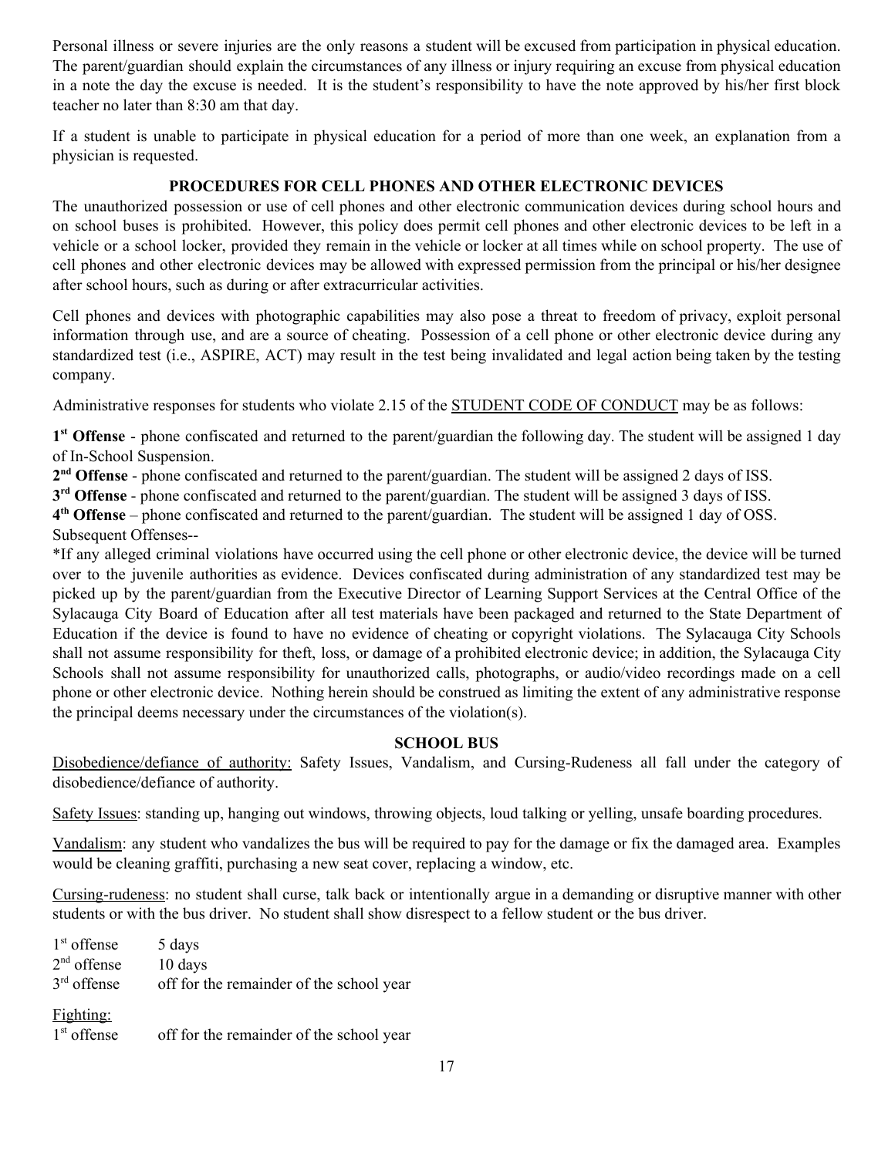Personal illness or severe injuries are the only reasons a student will be excused from participation in physical education. The parent/guardian should explain the circumstances of any illness or injury requiring an excuse from physical education in a note the day the excuse is needed. It is the student's responsibility to have the note approved by his/her first block teacher no later than 8:30 am that day.

If a student is unable to participate in physical education for a period of more than one week, an explanation from a physician is requested.

## **PROCEDURES FOR CELL PHONES AND OTHER ELECTRONIC DEVICES**

The unauthorized possession or use of cell phones and other electronic communication devices during school hours and on school buses is prohibited. However, this policy does permit cell phones and other electronic devices to be left in a vehicle or a school locker, provided they remain in the vehicle or locker at all times while on school property. The use of cell phones and other electronic devices may be allowed with expressed permission from the principal or his/her designee after school hours, such as during or after extracurricular activities.

Cell phones and devices with photographic capabilities may also pose a threat to freedom of privacy, exploit personal information through use, and are a source of cheating. Possession of a cell phone or other electronic device during any standardized test (i.e., ASPIRE, ACT) may result in the test being invalidated and legal action being taken by the testing company.

Administrative responses for students who violate 2.15 of the STUDENT CODE OF CONDUCT may be as follows:

1<sup>st</sup> Offense - phone confiscated and returned to the parent/guardian the following day. The student will be assigned 1 day of In-School Suspension.

2<sup>nd</sup> **Offense** - phone confiscated and returned to the parent/guardian. The student will be assigned 2 days of ISS.

**3 rd Offense** - phone confiscated and returned to the parent/guardian. The student will be assigned 3 days of ISS.

**4 th Offense** – phone confiscated and returned to the parent/guardian. The student will be assigned 1 day of OSS. Subsequent Offenses--

\*If any alleged criminal violations have occurred using the cell phone or other electronic device, the device will be turned over to the juvenile authorities as evidence. Devices confiscated during administration of any standardized test may be picked up by the parent/guardian from the Executive Director of Learning Support Services at the Central Office of the Sylacauga City Board of Education after all test materials have been packaged and returned to the State Department of Education if the device is found to have no evidence of cheating or copyright violations. The Sylacauga City Schools shall not assume responsibility for theft, loss, or damage of a prohibited electronic device; in addition, the Sylacauga City Schools shall not assume responsibility for unauthorized calls, photographs, or audio/video recordings made on a cell phone or other electronic device. Nothing herein should be construed as limiting the extent of any administrative response the principal deems necessary under the circumstances of the violation(s).

### **SCHOOL BUS**

Disobedience/defiance of authority: Safety Issues, Vandalism, and Cursing-Rudeness all fall under the category of disobedience/defiance of authority.

Safety Issues: standing up, hanging out windows, throwing objects, loud talking or yelling, unsafe boarding procedures.

Vandalism: any student who vandalizes the bus will be required to pay for the damage or fix the damaged area. Examples would be cleaning graffiti, purchasing a new seat cover, replacing a window, etc.

Cursing-rudeness: no student shall curse, talk back or intentionally argue in a demanding or disruptive manner with other students or with the bus driver. No student shall show disrespect to a fellow student or the bus driver.

| $1st$ offense              | 5 days                                   |
|----------------------------|------------------------------------------|
| $2nd$ offense              | 10 days                                  |
| $3rd$ offense              | off for the remainder of the school year |
| Fighting:<br>$1st$ offense | off for the remainder of the school year |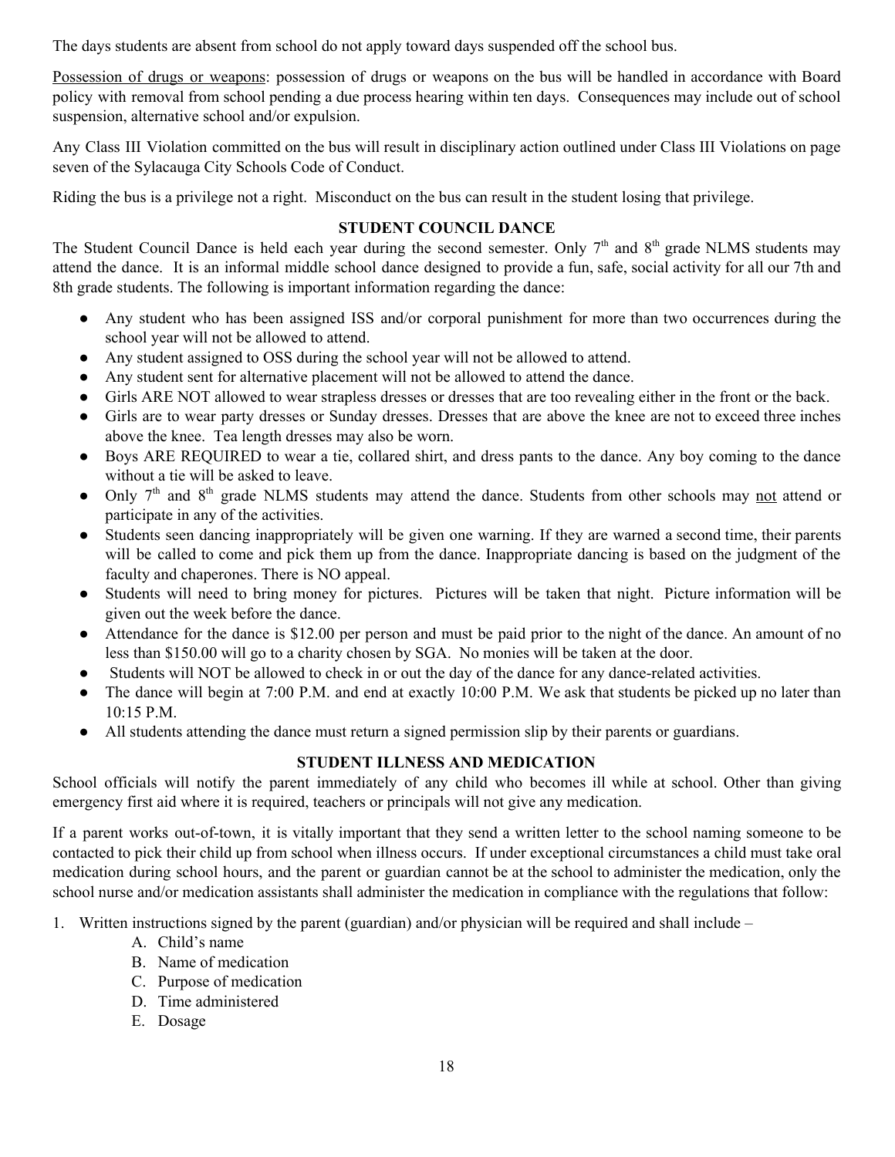The days students are absent from school do not apply toward days suspended off the school bus.

Possession of drugs or weapons: possession of drugs or weapons on the bus will be handled in accordance with Board policy with removal from school pending a due process hearing within ten days. Consequences may include out of school suspension, alternative school and/or expulsion.

Any Class III Violation committed on the bus will result in disciplinary action outlined under Class III Violations on page seven of the Sylacauga City Schools Code of Conduct.

Riding the bus is a privilege not a right. Misconduct on the bus can result in the student losing that privilege.

# **STUDENT COUNCIL DANCE**

The Student Council Dance is held each year during the second semester. Only  $7<sup>th</sup>$  and  $8<sup>th</sup>$  grade NLMS students may attend the dance. It is an informal middle school dance designed to provide a fun, safe, social activity for all our 7th and 8th grade students. The following is important information regarding the dance:

- Any student who has been assigned ISS and/or corporal punishment for more than two occurrences during the school year will not be allowed to attend.
- Any student assigned to OSS during the school year will not be allowed to attend.
- Any student sent for alternative placement will not be allowed to attend the dance.
- Girls ARE NOT allowed to wear strapless dresses or dresses that are too revealing either in the front or the back.
- Girls are to wear party dresses or Sunday dresses. Dresses that are above the knee are not to exceed three inches above the knee. Tea length dresses may also be worn.
- Boys ARE REQUIRED to wear a tie, collared shirt, and dress pants to the dance. Any boy coming to the dance without a tie will be asked to leave.
- Only 7<sup>th</sup> and 8<sup>th</sup> grade NLMS students may attend the dance. Students from other schools may not attend or participate in any of the activities.
- Students seen dancing inappropriately will be given one warning. If they are warned a second time, their parents will be called to come and pick them up from the dance. Inappropriate dancing is based on the judgment of the faculty and chaperones. There is NO appeal.
- Students will need to bring money for pictures. Pictures will be taken that night. Picture information will be given out the week before the dance.
- Attendance for the dance is \$12.00 per person and must be paid prior to the night of the dance. An amount of no less than \$150.00 will go to a charity chosen by SGA. No monies will be taken at the door.
- Students will NOT be allowed to check in or out the day of the dance for any dance-related activities.
- The dance will begin at 7:00 P.M. and end at exactly 10:00 P.M. We ask that students be picked up no later than 10:15 P.M.
- All students attending the dance must return a signed permission slip by their parents or guardians.

# **STUDENT ILLNESS AND MEDICATION**

School officials will notify the parent immediately of any child who becomes ill while at school. Other than giving emergency first aid where it is required, teachers or principals will not give any medication.

If a parent works out-of-town, it is vitally important that they send a written letter to the school naming someone to be contacted to pick their child up from school when illness occurs. If under exceptional circumstances a child must take oral medication during school hours, and the parent or guardian cannot be at the school to administer the medication, only the school nurse and/or medication assistants shall administer the medication in compliance with the regulations that follow:

- 1. Written instructions signed by the parent (guardian) and/or physician will be required and shall include
	- A. Child's name
	- B. Name of medication
	- C. Purpose of medication
	- D. Time administered
	- E. Dosage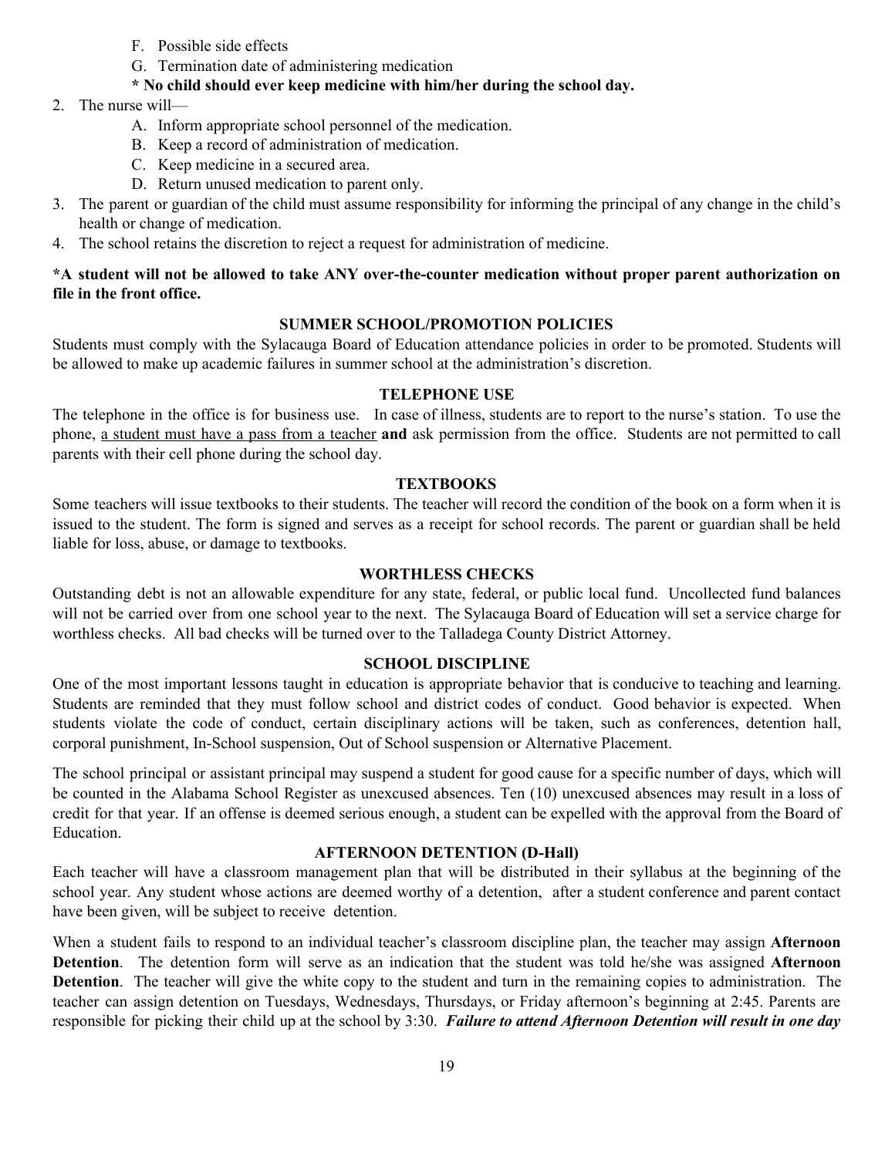- F. Possible side effects
- G. Termination date of administering medication

### **\* No child should ever keep medicine with him/her during the school day.**

- 2. The nurse will—
	- A. Inform appropriate school personnel of the medication.
	- B. Keep a record of administration of medication.
	- C. Keep medicine in a secured area.
	- D. Return unused medication to parent only.
- 3. The parent or guardian of the child must assume responsibility for informing the principal of any change in the child's health or change of medication.
- 4. The school retains the discretion to reject a request for administration of medicine.

### **\*A student will not be allowed to take ANY over-the-counter medication without proper parent authorization on file in the front office.**

### **SUMMER SCHOOL/PROMOTION POLICIES**

Students must comply with the Sylacauga Board of Education attendance policies in order to be promoted. Students will be allowed to make up academic failures in summer school at the administration's discretion.

### **TELEPHONE USE**

The telephone in the office is for business use. In case of illness, students are to report to the nurse's station. To use the phone, a student must have a pass from a teacher **and** ask permission from the office. Students are not permitted to call parents with their cell phone during the school day.

### **TEXTBOOKS**

Some teachers will issue textbooks to their students. The teacher will record the condition of the book on a form when it is issued to the student. The form is signed and serves as a receipt for school records. The parent or guardian shall be held liable for loss, abuse, or damage to textbooks.

#### **WORTHLESS CHECKS**

Outstanding debt is not an allowable expenditure for any state, federal, or public local fund. Uncollected fund balances will not be carried over from one school year to the next. The Sylacauga Board of Education will set a service charge for worthless checks. All bad checks will be turned over to the Talladega County District Attorney.

### **SCHOOL DISCIPLINE**

One of the most important lessons taught in education is appropriate behavior that is conducive to teaching and learning. Students are reminded that they must follow school and district codes of conduct. Good behavior is expected. When students violate the code of conduct, certain disciplinary actions will be taken, such as conferences, detention hall, corporal punishment, In-School suspension, Out of School suspension or Alternative Placement.

The school principal or assistant principal may suspend a student for good cause for a specific number of days, which will be counted in the Alabama School Register as unexcused absences. Ten (10) unexcused absences may result in a loss of credit for that year. If an offense is deemed serious enough, a student can be expelled with the approval from the Board of Education.

### **AFTERNOON DETENTION (D-Hall)**

Each teacher will have a classroom management plan that will be distributed in their syllabus at the beginning of the school year. Any student whose actions are deemed worthy of a detention, after a student conference and parent contact have been given, will be subject to receive detention.

When a student fails to respond to an individual teacher's classroom discipline plan, the teacher may assign **Afternoon Detention**. The detention form will serve as an indication that the student was told he/she was assigned **Afternoon Detention**. The teacher will give the white copy to the student and turn in the remaining copies to administration. The teacher can assign detention on Tuesdays, Wednesdays, Thursdays, or Friday afternoon's beginning at 2:45. Parents are responsible for picking their child up at the school by 3:30. *Failure to attend Afternoon Detention will result in one day*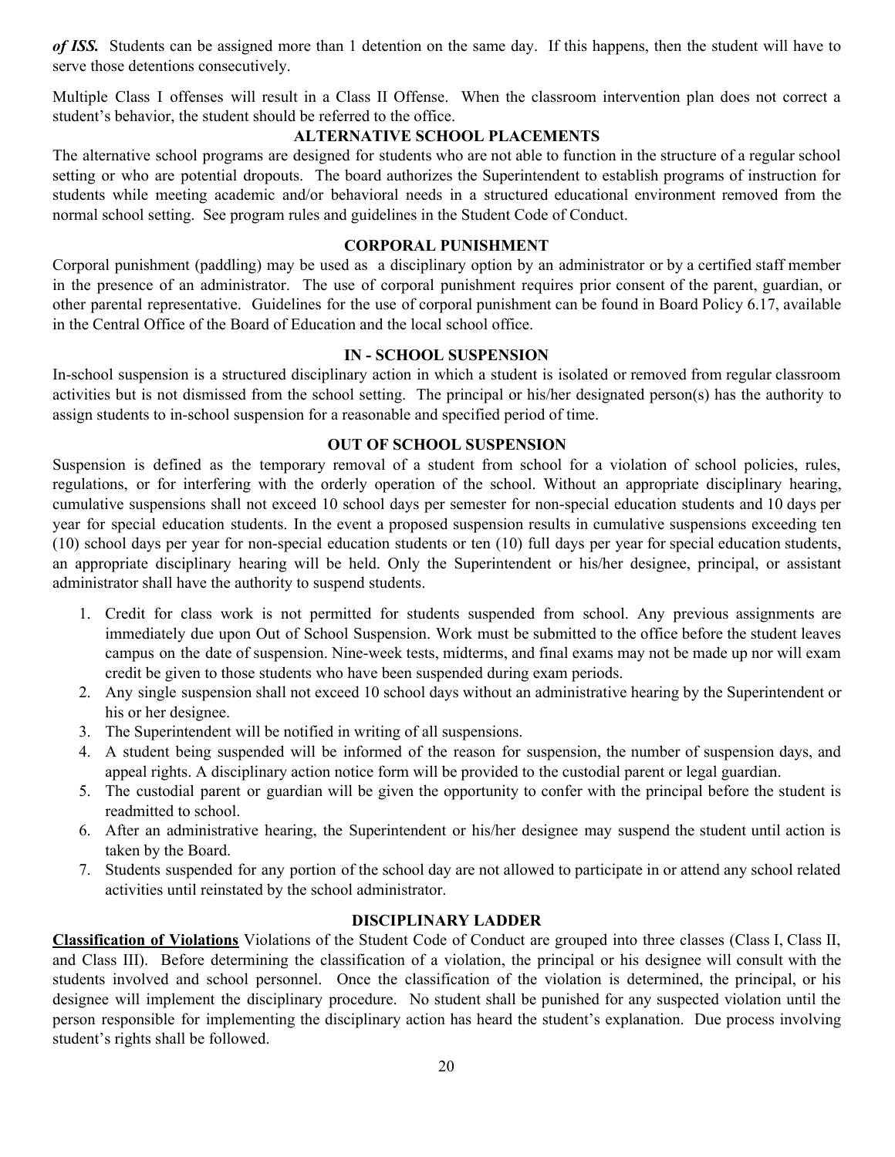*of* **ISS.** Students can be assigned more than 1 detention on the same day. If this happens, then the student will have to serve those detentions consecutively.

Multiple Class I offenses will result in a Class II Offense. When the classroom intervention plan does not correct a student's behavior, the student should be referred to the office.

### **ALTERNATIVE SCHOOL PLACEMENTS**

The alternative school programs are designed for students who are not able to function in the structure of a regular school setting or who are potential dropouts. The board authorizes the Superintendent to establish programs of instruction for students while meeting academic and/or behavioral needs in a structured educational environment removed from the normal school setting. See program rules and guidelines in the Student Code of Conduct.

### **CORPORAL PUNISHMENT**

Corporal punishment (paddling) may be used as a disciplinary option by an administrator or by a certified staff member in the presence of an administrator. The use of corporal punishment requires prior consent of the parent, guardian, or other parental representative. Guidelines for the use of corporal punishment can be found in Board Policy 6.17, available in the Central Office of the Board of Education and the local school office.

### **IN - SCHOOL SUSPENSION**

In-school suspension is a structured disciplinary action in which a student is isolated or removed from regular classroom activities but is not dismissed from the school setting. The principal or his/her designated person(s) has the authority to assign students to in-school suspension for a reasonable and specified period of time.

### **OUT OF SCHOOL SUSPENSION**

Suspension is defined as the temporary removal of a student from school for a violation of school policies, rules, regulations, or for interfering with the orderly operation of the school. Without an appropriate disciplinary hearing, cumulative suspensions shall not exceed 10 school days per semester for non-special education students and 10 days per year for special education students. In the event a proposed suspension results in cumulative suspensions exceeding ten (10) school days per year for non-special education students or ten (10) full days per year for special education students, an appropriate disciplinary hearing will be held. Only the Superintendent or his/her designee, principal, or assistant administrator shall have the authority to suspend students.

- 1. Credit for class work is not permitted for students suspended from school. Any previous assignments are immediately due upon Out of School Suspension. Work must be submitted to the office before the student leaves campus on the date of suspension. Nine-week tests, midterms, and final exams may not be made up nor will exam credit be given to those students who have been suspended during exam periods.
- 2. Any single suspension shall not exceed 10 school days without an administrative hearing by the Superintendent or his or her designee.
- 3. The Superintendent will be notified in writing of all suspensions.
- 4. A student being suspended will be informed of the reason for suspension, the number of suspension days, and appeal rights. A disciplinary action notice form will be provided to the custodial parent or legal guardian.
- 5. The custodial parent or guardian will be given the opportunity to confer with the principal before the student is readmitted to school.
- 6. After an administrative hearing, the Superintendent or his/her designee may suspend the student until action is taken by the Board.
- 7. Students suspended for any portion of the school day are not allowed to participate in or attend any school related activities until reinstated by the school administrator.

# **DISCIPLINARY LADDER**

**Classification of Violations** Violations of the Student Code of Conduct are grouped into three classes (Class I, Class II, and Class III). Before determining the classification of a violation, the principal or his designee will consult with the students involved and school personnel. Once the classification of the violation is determined, the principal, or his designee will implement the disciplinary procedure. No student shall be punished for any suspected violation until the person responsible for implementing the disciplinary action has heard the student's explanation. Due process involving student's rights shall be followed.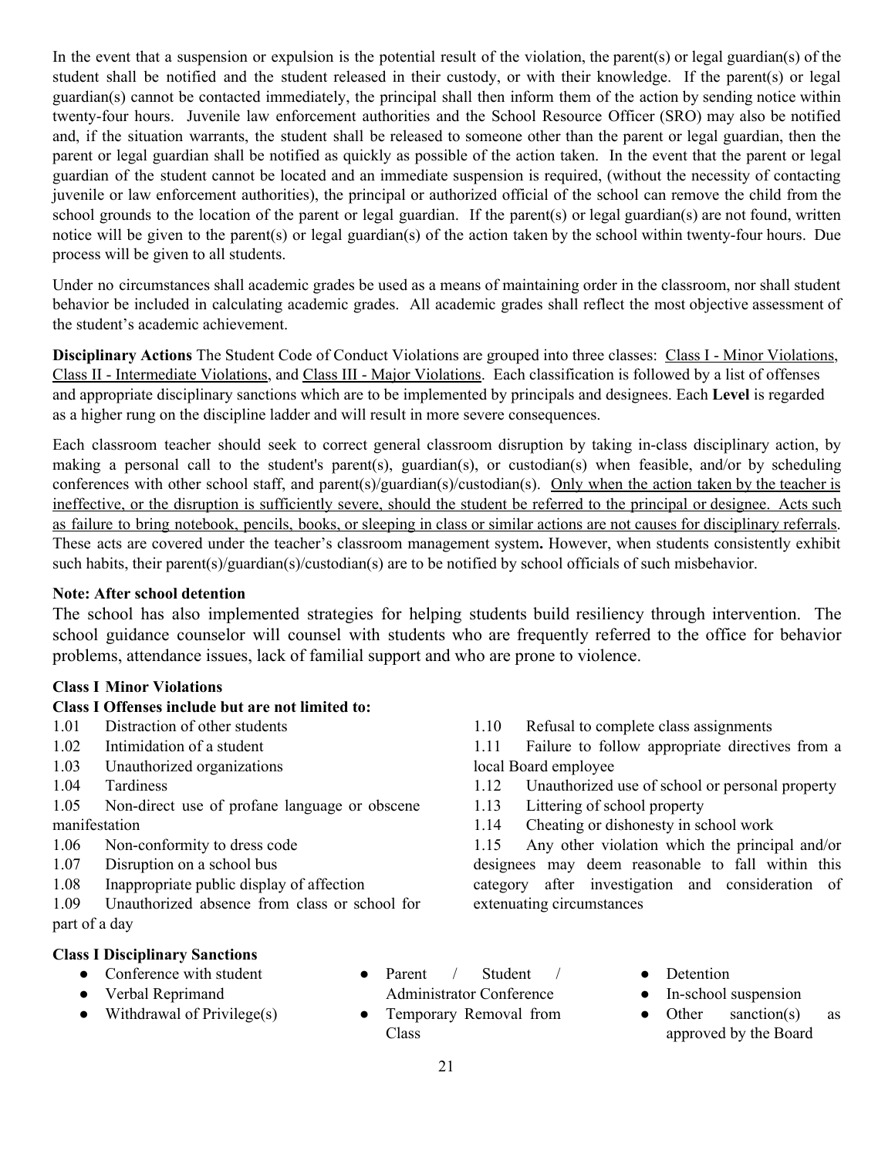In the event that a suspension or expulsion is the potential result of the violation, the parent(s) or legal guardian(s) of the student shall be notified and the student released in their custody, or with their knowledge. If the parent(s) or legal guardian(s) cannot be contacted immediately, the principal shall then inform them of the action by sending notice within twenty-four hours. Juvenile law enforcement authorities and the School Resource Officer (SRO) may also be notified and, if the situation warrants, the student shall be released to someone other than the parent or legal guardian, then the parent or legal guardian shall be notified as quickly as possible of the action taken. In the event that the parent or legal guardian of the student cannot be located and an immediate suspension is required, (without the necessity of contacting juvenile or law enforcement authorities), the principal or authorized official of the school can remove the child from the school grounds to the location of the parent or legal guardian. If the parent(s) or legal guardian(s) are not found, written notice will be given to the parent(s) or legal guardian(s) of the action taken by the school within twenty-four hours. Due process will be given to all students.

Under no circumstances shall academic grades be used as a means of maintaining order in the classroom, nor shall student behavior be included in calculating academic grades. All academic grades shall reflect the most objective assessment of the student's academic achievement.

**Disciplinary Actions** The Student Code of Conduct Violations are grouped into three classes: Class I - Minor Violations, Class II - Intermediate Violations, and Class III - Major Violations. Each classification is followed by a list of offenses and appropriate disciplinary sanctions which are to be implemented by principals and designees. Each **Level** is regarded as a higher rung on the discipline ladder and will result in more severe consequences.

Each classroom teacher should seek to correct general classroom disruption by taking in-class disciplinary action, by making a personal call to the student's parent(s), guardian(s), or custodian(s) when feasible, and/or by scheduling conferences with other school staff, and parent(s)/guardian(s)/custodian(s). Only when the action taken by the teacher is ineffective, or the disruption is sufficiently severe, should the student be referred to the principal or designee. Acts such as failure to bring notebook, pencils, books, or sleeping in class or similar actions are not causes for disciplinary referrals. These acts are covered under the teacher's classroom management system**.** However, when students consistently exhibit such habits, their parent(s)/guardian(s)/custodian(s) are to be notified by school officials of such misbehavior.

## **Note: After school detention**

The school has also implemented strategies for helping students build resiliency through intervention. The school guidance counselor will counsel with students who are frequently referred to the office for behavior problems, attendance issues, lack of familial support and who are prone to violence.

## **Class I Minor Violations**

## **Class I Offenses include but are not limited to:**

- 1.01 Distraction of other students
- 1.02 Intimidation of a student
- 1.03 Unauthorized organizations
- 1.04 Tardiness
- 1.05 Non-direct use of profane language or obscene manifestation
- 1.06 Non-conformity to dress code
- 1.07 Disruption on a school bus
- 1.08 Inappropriate public display of affection
- 1.09 Unauthorized absence from class or school for part of a day

## **Class I Disciplinary Sanctions**

- Conference with student
- Verbal Reprimand
- $\bullet$  Withdrawal of Privilege(s)
- Parent / Student / Administrator Conference
- Temporary Removal from Class

1.10 Refusal to complete class assignments

1.11 Failure to follow appropriate directives from a local Board employee

- 1.12 Unauthorized use of school or personal property
- 1.13 Littering of school property
- 1.14 Cheating or dishonesty in school work

1.15 Any other violation which the principal and/or designees may deem reasonable to fall within this category after investigation and consideration of extenuating circumstances

- Detention
- In-school suspension
- Other sanction(s) as approved by the Board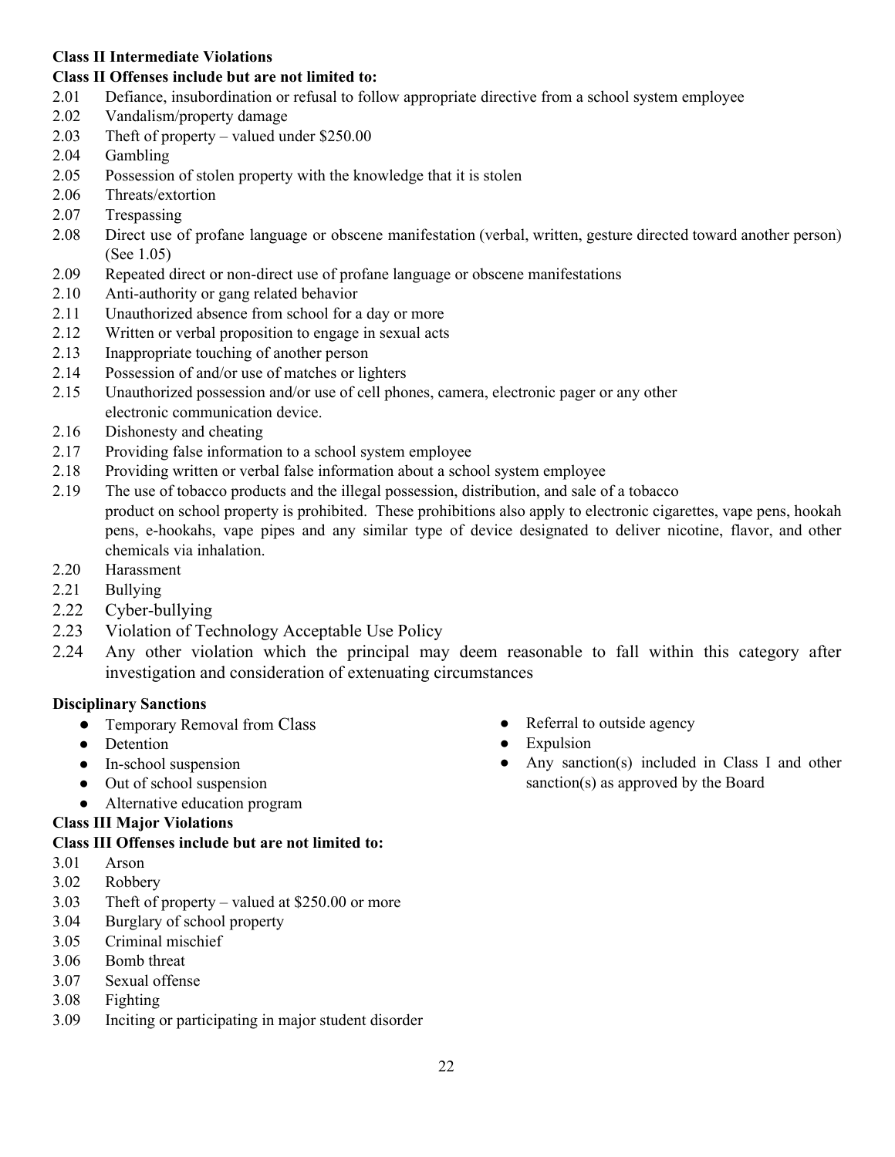## **Class II Intermediate Violations**

# **Class II Offenses include but are not limited to:**

- 2.01 Defiance, insubordination or refusal to follow appropriate directive from a school system employee
- 2.02 Vandalism/property damage
- 2.03 Theft of property valued under \$250.00
- 2.04 Gambling
- 2.05 Possession of stolen property with the knowledge that it is stolen
- 2.06 Threats/extortion
- 2.07 Trespassing
- 2.08 Direct use of profane language or obscene manifestation (verbal, written, gesture directed toward another person) (See 1.05)
- 2.09 Repeated direct or non-direct use of profane language or obscene manifestations
- 2.10 Anti-authority or gang related behavior
- 2.11 Unauthorized absence from school for a day or more
- 2.12 Written or verbal proposition to engage in sexual acts
- 2.13 Inappropriate touching of another person
- 2.14 Possession of and/or use of matches or lighters
- 2.15 Unauthorized possession and/or use of cell phones, camera, electronic pager or any other electronic communication device.
- 2.16 Dishonesty and cheating
- 2.17 Providing false information to a school system employee
- 2.18 Providing written or verbal false information about a school system employee
- 2.19 The use of tobacco products and the illegal possession, distribution, and sale of a tobacco product on school property is prohibited. These prohibitions also apply to electronic cigarettes, vape pens, hookah pens, e-hookahs, vape pipes and any similar type of device designated to deliver nicotine, flavor, and other chemicals via inhalation.
- 2.20 Harassment
- 2.21 Bullying
- 2.22 Cyber-bullying
- 2.23 Violation of Technology Acceptable Use Policy
- 2.24 Any other violation which the principal may deem reasonable to fall within this category after investigation and consideration of extenuating circumstances

# **Disciplinary Sanctions**

- Temporary Removal from Class
- Detention
- In-school suspension
- Out of school suspension
- Alternative education program

# **Class III Major Violations**

## **Class III Offenses include but are not limited to:**

- 3.01 Arson
- 3.02 Robbery
- 3.03 Theft of property valued at \$250.00 or more
- 3.04 Burglary of school property
- 3.05 Criminal mischief
- 3.06 Bomb threat
- 3.07 Sexual offense
- 3.08 Fighting
- 3.09 Inciting or participating in major student disorder
- Referral to outside agency
- Expulsion
- Any sanction(s) included in Class I and other sanction(s) as approved by the Board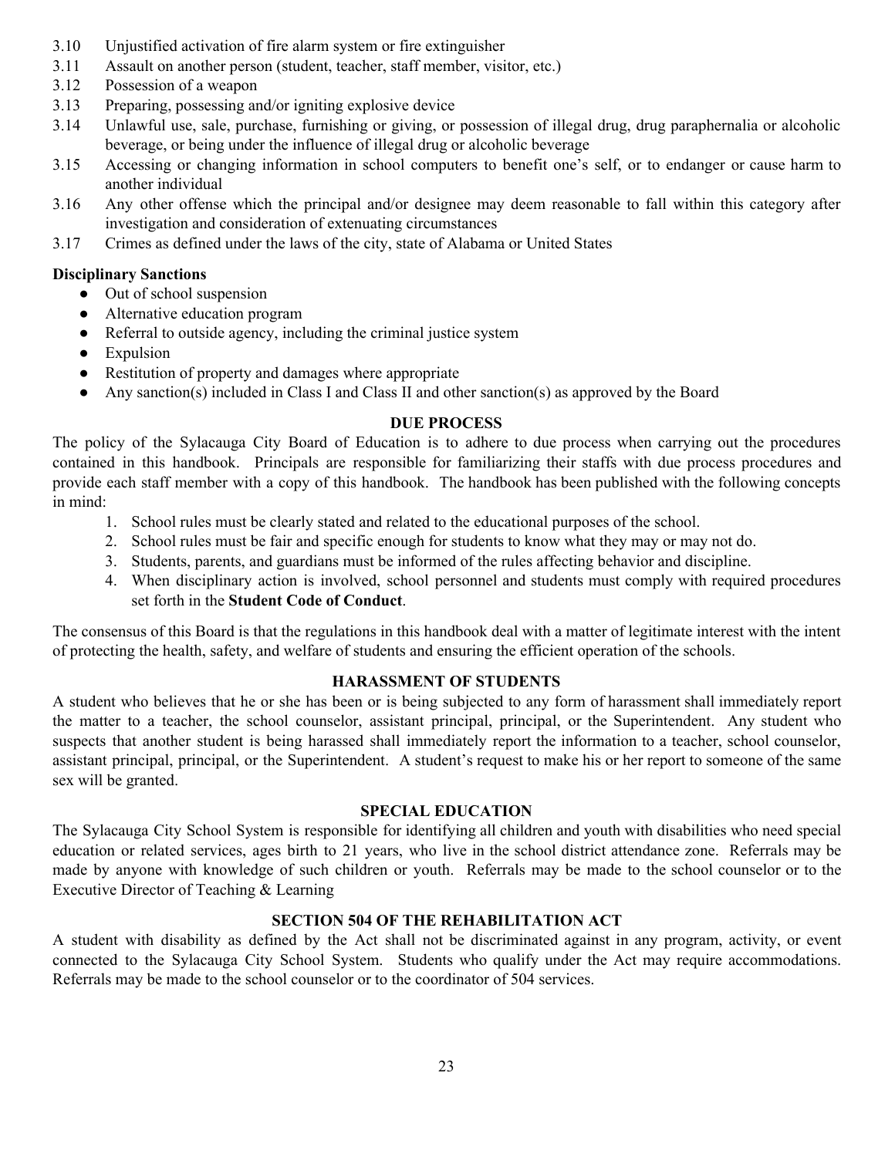- 3.10 Unjustified activation of fire alarm system or fire extinguisher
- 3.11 Assault on another person (student, teacher, staff member, visitor, etc.)
- 3.12 Possession of a weapon
- 3.13 Preparing, possessing and/or igniting explosive device
- 3.14 Unlawful use, sale, purchase, furnishing or giving, or possession of illegal drug, drug paraphernalia or alcoholic beverage, or being under the influence of illegal drug or alcoholic beverage
- 3.15 Accessing or changing information in school computers to benefit one's self, or to endanger or cause harm to another individual
- 3.16 Any other offense which the principal and/or designee may deem reasonable to fall within this category after investigation and consideration of extenuating circumstances
- 3.17 Crimes as defined under the laws of the city, state of Alabama or United States

## **Disciplinary Sanctions**

- Out of school suspension
- Alternative education program
- Referral to outside agency, including the criminal justice system
- Expulsion
- Restitution of property and damages where appropriate
- Any sanction(s) included in Class I and Class II and other sanction(s) as approved by the Board

### **DUE PROCESS**

The policy of the Sylacauga City Board of Education is to adhere to due process when carrying out the procedures contained in this handbook. Principals are responsible for familiarizing their staffs with due process procedures and provide each staff member with a copy of this handbook. The handbook has been published with the following concepts in mind:

- 1. School rules must be clearly stated and related to the educational purposes of the school.
- 2. School rules must be fair and specific enough for students to know what they may or may not do.
- 3. Students, parents, and guardians must be informed of the rules affecting behavior and discipline.
- 4. When disciplinary action is involved, school personnel and students must comply with required procedures set forth in the **Student Code of Conduct**.

The consensus of this Board is that the regulations in this handbook deal with a matter of legitimate interest with the intent of protecting the health, safety, and welfare of students and ensuring the efficient operation of the schools.

### **HARASSMENT OF STUDENTS**

A student who believes that he or she has been or is being subjected to any form of harassment shall immediately report the matter to a teacher, the school counselor, assistant principal, principal, or the Superintendent. Any student who suspects that another student is being harassed shall immediately report the information to a teacher, school counselor, assistant principal, principal, or the Superintendent. A student's request to make his or her report to someone of the same sex will be granted.

### **SPECIAL EDUCATION**

The Sylacauga City School System is responsible for identifying all children and youth with disabilities who need special education or related services, ages birth to 21 years, who live in the school district attendance zone. Referrals may be made by anyone with knowledge of such children or youth. Referrals may be made to the school counselor or to the Executive Director of Teaching & Learning

### **SECTION 504 OF THE REHABILITATION ACT**

A student with disability as defined by the Act shall not be discriminated against in any program, activity, or event connected to the Sylacauga City School System. Students who qualify under the Act may require accommodations. Referrals may be made to the school counselor or to the coordinator of 504 services.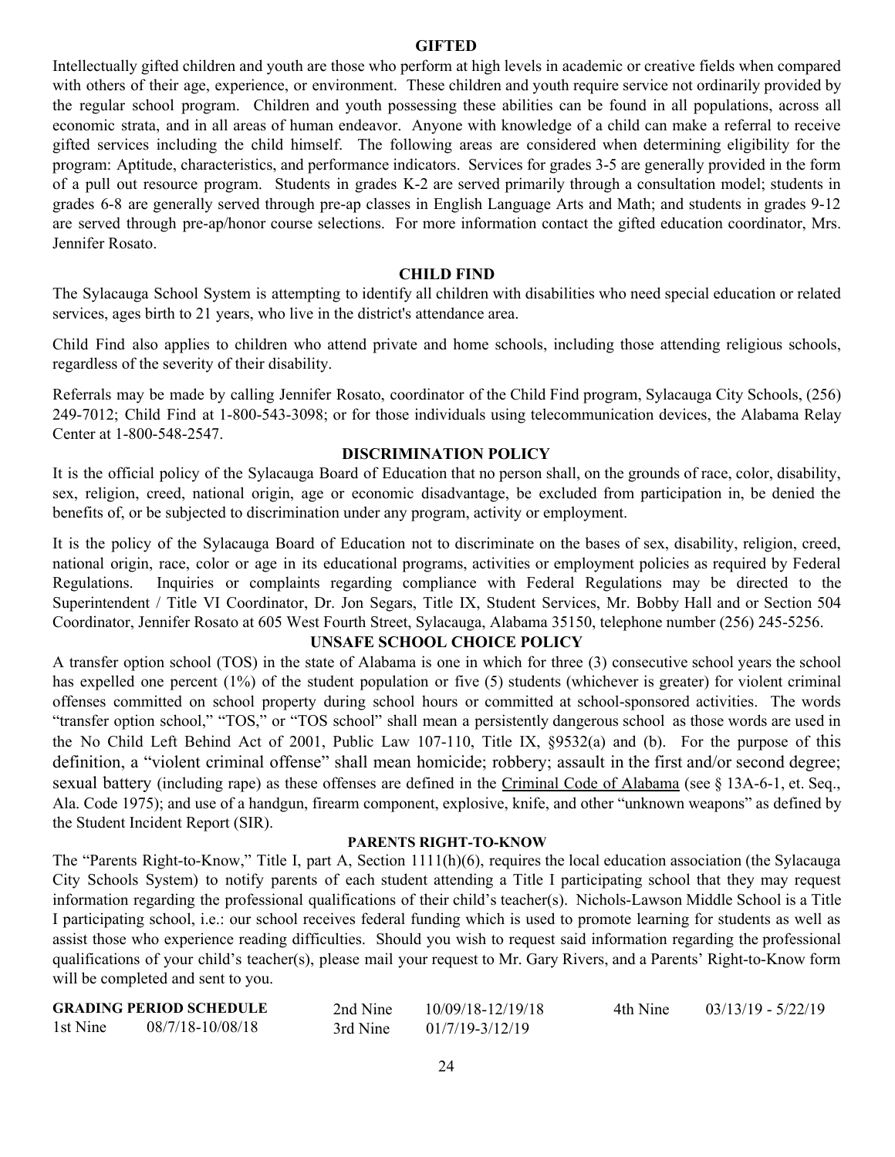#### **GIFTED**

Intellectually gifted children and youth are those who perform at high levels in academic or creative fields when compared with others of their age, experience, or environment. These children and youth require service not ordinarily provided by the regular school program. Children and youth possessing these abilities can be found in all populations, across all economic strata, and in all areas of human endeavor. Anyone with knowledge of a child can make a referral to receive gifted services including the child himself. The following areas are considered when determining eligibility for the program: Aptitude, characteristics, and performance indicators. Services for grades 3-5 are generally provided in the form of a pull out resource program. Students in grades K-2 are served primarily through a consultation model; students in grades 6-8 are generally served through pre-ap classes in English Language Arts and Math; and students in grades 9-12 are served through pre-ap/honor course selections. For more information contact the gifted education coordinator, Mrs. Jennifer Rosato.

#### **CHILD FIND**

The Sylacauga School System is attempting to identify all children with disabilities who need special education or related services, ages birth to 21 years, who live in the district's attendance area.

Child Find also applies to children who attend private and home schools, including those attending religious schools, regardless of the severity of their disability.

Referrals may be made by calling Jennifer Rosato, coordinator of the Child Find program, Sylacauga City Schools, (256) 249-7012; Child Find at 1-800-543-3098; or for those individuals using telecommunication devices, the Alabama Relay Center at 1-800-548-2547.

#### **DISCRIMINATION POLICY**

It is the official policy of the Sylacauga Board of Education that no person shall, on the grounds of race, color, disability, sex, religion, creed, national origin, age or economic disadvantage, be excluded from participation in, be denied the benefits of, or be subjected to discrimination under any program, activity or employment.

It is the policy of the Sylacauga Board of Education not to discriminate on the bases of sex, disability, religion, creed, national origin, race, color or age in its educational programs, activities or employment policies as required by Federal Regulations. Inquiries or complaints regarding compliance with Federal Regulations may be directed to the Superintendent / Title VI Coordinator, Dr. Jon Segars, Title IX, Student Services, Mr. Bobby Hall and or Section 504 Coordinator, Jennifer Rosato at 605 West Fourth Street, Sylacauga, Alabama 35150, telephone number (256) 245-5256.

### **UNSAFE SCHOOL CHOICE POLICY**

A transfer option school (TOS) in the state of Alabama is one in which for three (3) consecutive school years the school has expelled one percent (1%) of the student population or five (5) students (whichever is greater) for violent criminal offenses committed on school property during school hours or committed at school-sponsored activities. The words "transfer option school," "TOS," or "TOS school" shall mean a persistently dangerous school as those words are used in the No Child Left Behind Act of 2001, Public Law 107-110, Title IX, §9532(a) and (b). For the purpose of this definition, a "violent criminal offense" shall mean homicide; robbery; assault in the first and/or second degree; sexual battery (including rape) as these offenses are defined in the Criminal Code of Alabama (see § 13A-6-1, et. Seq., Ala. Code 1975); and use of a handgun, firearm component, explosive, knife, and other "unknown weapons" as defined by the Student Incident Report (SIR).

#### **PARENTS RIGHT-TO-KNOW**

The "Parents Right-to-Know," Title I, part A, Section 1111(h)(6), requires the local education association (the Sylacauga City Schools System) to notify parents of each student attending a Title I participating school that they may request information regarding the professional qualifications of their child's teacher(s). Nichols-Lawson Middle School is a Title I participating school, i.e.: our school receives federal funding which is used to promote learning for students as well as assist those who experience reading difficulties. Should you wish to request said information regarding the professional qualifications of your child's teacher(s), please mail your request to Mr. Gary Rivers, and a Parents' Right-to-Know form will be completed and sent to you.

|          | <b>GRADING PERIOD SCHEDULE</b> | 2nd Nine | 10/09/18-12/19/18   | 4th Nine | $03/13/19 - 5/22/19$ |
|----------|--------------------------------|----------|---------------------|----------|----------------------|
| 1st Nine | 08/7/18-10/08/18               | 3rd Nine | $01/7/19 - 3/12/19$ |          |                      |